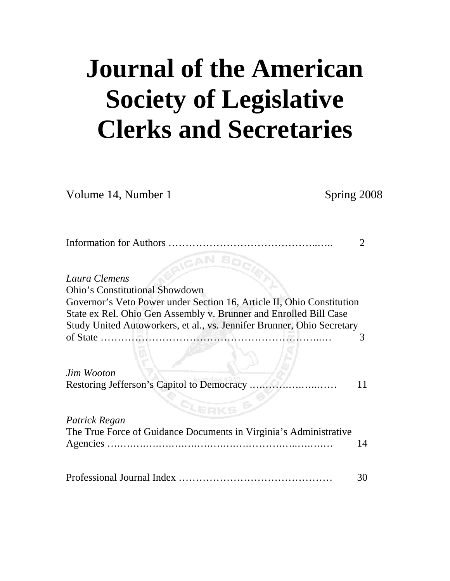# **Journal of the American Society of Legislative Clerks and Secretaries**

Volume 14, Number 1 Spring 2008

| لحميج                                                                  |    |
|------------------------------------------------------------------------|----|
| Laura Clemens                                                          |    |
| <b>Ohio's Constitutional Showdown</b>                                  |    |
| Governor's Veto Power under Section 16, Article II, Ohio Constitution  |    |
| State ex Rel. Ohio Gen Assembly v. Brunner and Enrolled Bill Case      |    |
| Study United Autoworkers, et al., vs. Jennifer Brunner, Ohio Secretary |    |
|                                                                        | 3  |
|                                                                        |    |
|                                                                        |    |
| Jim Wooton                                                             |    |
| Restoring Jefferson's Capitol to Democracy                             |    |
|                                                                        |    |
| $s_{\rm key}$                                                          |    |
| Patrick Regan                                                          |    |
| The True Force of Guidance Documents in Virginia's Administrative      |    |
|                                                                        | 14 |
|                                                                        |    |
|                                                                        |    |
|                                                                        | 30 |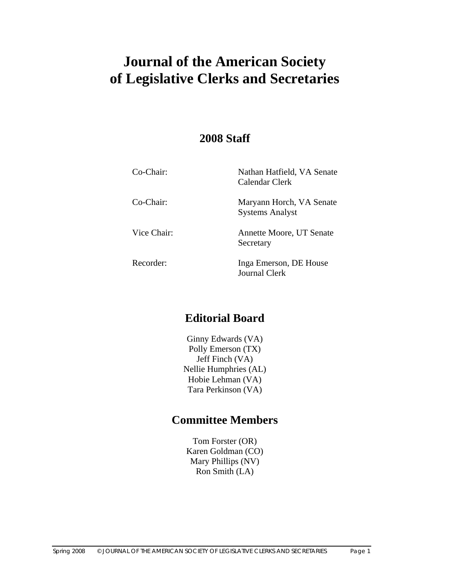# **Journal of the American Society of Legislative Clerks and Secretaries**

# **2008 Staff**

| Co-Chair:   | Nathan Hatfield, VA Senate<br>Calendar Clerk       |
|-------------|----------------------------------------------------|
| Co-Chair:   | Maryann Horch, VA Senate<br><b>Systems Analyst</b> |
| Vice Chair: | Annette Moore, UT Senate<br>Secretary              |
| Recorder:   | Inga Emerson, DE House<br><b>Journal Clerk</b>     |

# **Editorial Board**

Ginny Edwards (VA) Polly Emerson (TX) Jeff Finch (VA) Nellie Humphries (AL) Hobie Lehman (VA) Tara Perkinson (VA)

# **Committee Members**

Tom Forster (OR) Karen Goldman (CO) Mary Phillips (NV) Ron Smith (LA)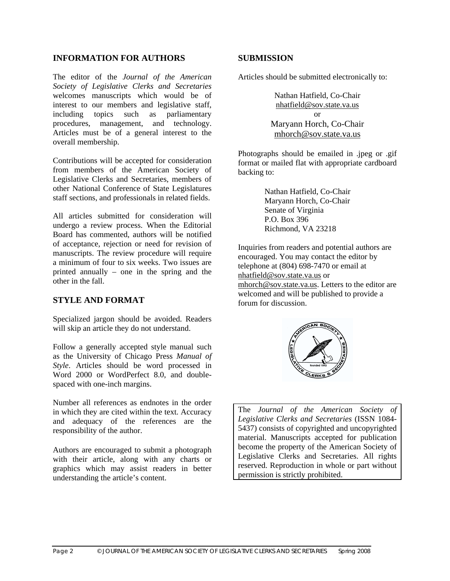#### **INFORMATION FOR AUTHORS**

The editor of the *Journal of the American Society of Legislative Clerks and Secretaries* welcomes manuscripts which would be of interest to our members and legislative staff, including topics such as parliamentary procedures, management, and technology. Articles must be of a general interest to the overall membership.

Contributions will be accepted for consideration from members of the American Society of Legislative Clerks and Secretaries, members of other National Conference of State Legislatures staff sections, and professionals in related fields.

All articles submitted for consideration will undergo a review process. When the Editorial Board has commented, authors will be notified of acceptance, rejection or need for revision of manuscripts. The review procedure will require a minimum of four to six weeks. Two issues are printed annually – one in the spring and the other in the fall.

#### **STYLE AND FORMAT**

Specialized jargon should be avoided. Readers will skip an article they do not understand.

Follow a generally accepted style manual such as the University of Chicago Press *Manual of Style*. Articles should be word processed in Word 2000 or WordPerfect 8.0, and doublespaced with one-inch margins.

Number all references as endnotes in the order in which they are cited within the text. Accuracy and adequacy of the references are the responsibility of the author.

Authors are encouraged to submit a photograph with their article, along with any charts or graphics which may assist readers in better understanding the article's content.

#### **SUBMISSION**

Articles should be submitted electronically to:

Nathan Hatfield, Co-Chair nhatfield@sov.state.va.us or Maryann Horch, Co-Chair mhorch@sov.state.va.us

Photographs should be emailed in .jpeg or .gif format or mailed flat with appropriate cardboard backing to:

> Nathan Hatfield, Co-Chair Maryann Horch, Co-Chair Senate of Virginia P.O. Box 396 Richmond, VA 23218

Inquiries from readers and potential authors are encouraged. You may contact the editor by telephone at (804) 698-7470 or email at nhatfield@sov.state.va.us or mhorch@sov.state.va.us. Letters to the editor are welcomed and will be published to provide a forum for discussion.



The *Journal of the American Society of Legislative Clerks and Secretaries* (ISSN 1084- 5437) consists of copyrighted and uncopyrighted material. Manuscripts accepted for publication become the property of the American Society of Legislative Clerks and Secretaries. All rights reserved. Reproduction in whole or part without permission is strictly prohibited.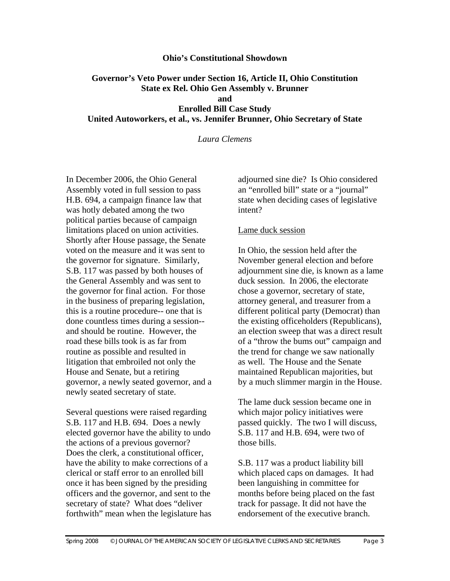#### **Ohio's Constitutional Showdown**

#### **Governor's Veto Power under Section 16, Article II, Ohio Constitution State ex Rel. Ohio Gen Assembly v. Brunner and Enrolled Bill Case Study United Autoworkers, et al., vs. Jennifer Brunner, Ohio Secretary of State**

*Laura Clemens* 

In December 2006, the Ohio General Assembly voted in full session to pass H.B. 694, a campaign finance law that was hotly debated among the two political parties because of campaign limitations placed on union activities. Shortly after House passage, the Senate voted on the measure and it was sent to the governor for signature. Similarly, S.B. 117 was passed by both houses of the General Assembly and was sent to the governor for final action. For those in the business of preparing legislation, this is a routine procedure-- one that is done countless times during a session- and should be routine. However, the road these bills took is as far from routine as possible and resulted in litigation that embroiled not only the House and Senate, but a retiring governor, a newly seated governor, and a newly seated secretary of state.

Several questions were raised regarding S.B. 117 and H.B. 694. Does a newly elected governor have the ability to undo the actions of a previous governor? Does the clerk, a constitutional officer, have the ability to make corrections of a clerical or staff error to an enrolled bill once it has been signed by the presiding officers and the governor, and sent to the secretary of state? What does "deliver forthwith" mean when the legislature has adjourned sine die? Is Ohio considered an "enrolled bill" state or a "journal" state when deciding cases of legislative intent?

#### Lame duck session

In Ohio, the session held after the November general election and before adjournment sine die, is known as a lame duck session. In 2006, the electorate chose a governor, secretary of state, attorney general, and treasurer from a different political party (Democrat) than the existing officeholders (Republicans), an election sweep that was a direct result of a "throw the bums out" campaign and the trend for change we saw nationally as well. The House and the Senate maintained Republican majorities, but by a much slimmer margin in the House.

The lame duck session became one in which major policy initiatives were passed quickly. The two I will discuss, S.B. 117 and H.B. 694, were two of those bills.

S.B. 117 was a product liability bill which placed caps on damages. It had been languishing in committee for months before being placed on the fast track for passage. It did not have the endorsement of the executive branch.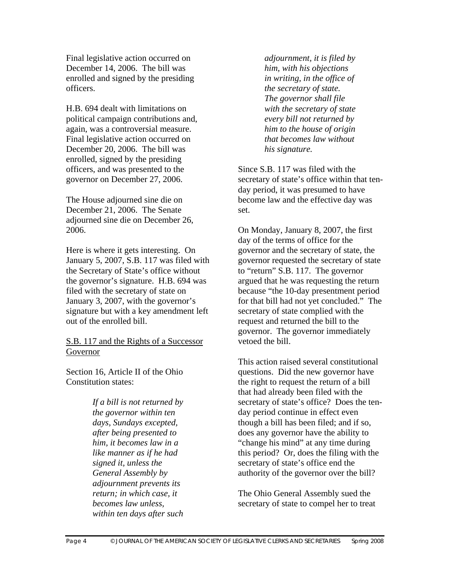Final legislative action occurred on December 14, 2006. The bill was enrolled and signed by the presiding officers.

H.B. 694 dealt with limitations on political campaign contributions and, again, was a controversial measure. Final legislative action occurred on December 20, 2006. The bill was enrolled, signed by the presiding officers, and was presented to the governor on December 27, 2006.

The House adjourned sine die on December 21, 2006. The Senate adjourned sine die on December 26, 2006.

Here is where it gets interesting. On January 5, 2007, S.B. 117 was filed with the Secretary of State's office without the governor's signature. H.B. 694 was filed with the secretary of state on January 3, 2007, with the governor's signature but with a key amendment left out of the enrolled bill.

S.B. 117 and the Rights of a Successor Governor

Section 16, Article II of the Ohio Constitution states:

> *If a bill is not returned by the governor within ten days, Sundays excepted, after being presented to him, it becomes law in a like manner as if he had signed it, unless the General Assembly by adjournment prevents its return; in which case, it becomes law unless, within ten days after such*

*adjournment, it is filed by him, with his objections in writing, in the office of the secretary of state. The governor shall file with the secretary of state every bill not returned by him to the house of origin that becomes law without his signature.* 

Since S.B. 117 was filed with the secretary of state's office within that tenday period, it was presumed to have become law and the effective day was set.

On Monday, January 8, 2007, the first day of the terms of office for the governor and the secretary of state, the governor requested the secretary of state to "return" S.B. 117. The governor argued that he was requesting the return because "the 10-day presentment period for that bill had not yet concluded." The secretary of state complied with the request and returned the bill to the governor. The governor immediately vetoed the bill.

This action raised several constitutional questions. Did the new governor have the right to request the return of a bill that had already been filed with the secretary of state's office? Does the tenday period continue in effect even though a bill has been filed; and if so, does any governor have the ability to "change his mind" at any time during this period? Or, does the filing with the secretary of state's office end the authority of the governor over the bill?

The Ohio General Assembly sued the secretary of state to compel her to treat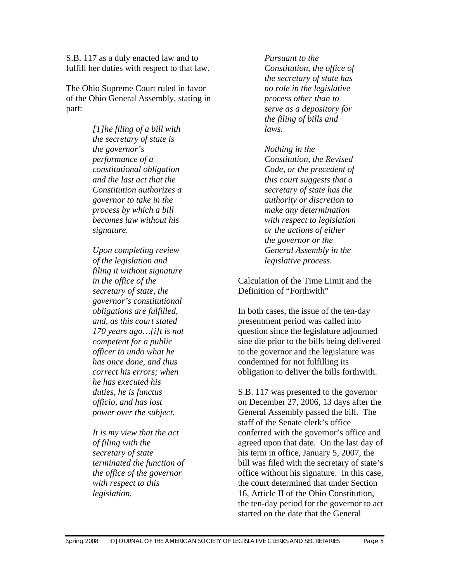S.B. 117 as a duly enacted law and to fulfill her duties with respect to that law.

The Ohio Supreme Court ruled in favor of the Ohio General Assembly, stating in part:

> *[T]he filing of a bill with the secretary of state is the governor's performance of a constitutional obligation and the last act that the Constitution authorizes a governor to take in the process by which a bill becomes law without his signature.*

*Upon completing review of the legislation and filing it without signature in the office of the secretary of state, the governor's constitutional obligations are fulfilled, and, as this court stated 170 years ago…[i]t is not competent for a public officer to undo what he has once done, and thus correct his errors; when he has executed his duties, he is functus officio, and has lost power over the subject.* 

*It is my view that the act of filing with the secretary of state terminated the function of the office of the governor with respect to this legislation.* 

*Pursuant to the Constitution, the office of the secretary of state has no role in the legislative process other than to serve as a depository for the filing of bills and laws.* 

# *Nothing in the*

*Constitution, the Revised Code, or the precedent of this court suggests that a secretary of state has the authority or discretion to make any determination with respect to legislation or the actions of either the governor or the General Assembly in the legislative process.*

#### Calculation of the Time Limit and the Definition of "Forthwith"

In both cases, the issue of the ten-day presentment period was called into question since the legislature adjourned sine die prior to the bills being delivered to the governor and the legislature was condemned for not fulfilling its obligation to deliver the bills forthwith.

S.B. 117 was presented to the governor on December 27, 2006, 13 days after the General Assembly passed the bill. The staff of the Senate clerk's office conferred with the governor's office and agreed upon that date. On the last day of his term in office, January 5, 2007, the bill was filed with the secretary of state's office without his signature. In this case, the court determined that under Section 16, Article II of the Ohio Constitution, the ten-day period for the governor to act started on the date that the General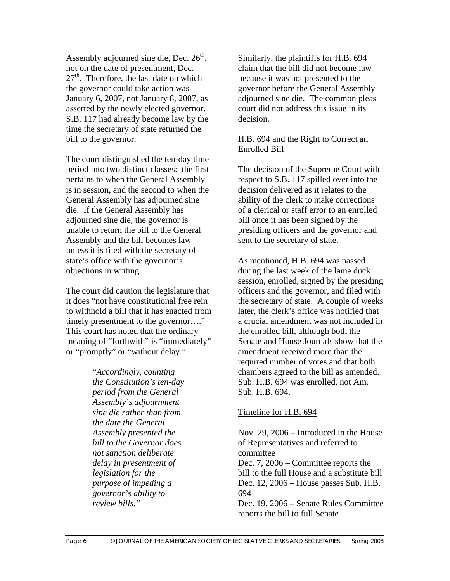Assembly adjourned sine die, Dec.  $26<sup>th</sup>$ , not on the date of presentment, Dec.  $27<sup>th</sup>$ . Therefore, the last date on which the governor could take action was January 6, 2007, not January 8, 2007, as asserted by the newly elected governor. S.B. 117 had already become law by the time the secretary of state returned the bill to the governor.

The court distinguished the ten-day time period into two distinct classes: the first pertains to when the General Assembly is in session, and the second to when the General Assembly has adjourned sine die. If the General Assembly has adjourned sine die, the governor is unable to return the bill to the General Assembly and the bill becomes law unless it is filed with the secretary of state's office with the governor's objections in writing.

The court did caution the legislature that it does "not have constitutional free rein to withhold a bill that it has enacted from timely presentment to the governor…." This court has noted that the ordinary meaning of "forthwith" is "immediately" or "promptly" or "without delay."

> "*Accordingly, counting the Constitution's ten-day period from the General Assembly's adjournment sine die rather than from the date the General Assembly presented the bill to the Governor does not sanction deliberate delay in presentment of legislation for the purpose of impeding a governor's ability to review bills."*

Similarly, the plaintiffs for H.B. 694 claim that the bill did not become law because it was not presented to the governor before the General Assembly adjourned sine die. The common pleas court did not address this issue in its decision.

#### H.B. 694 and the Right to Correct an Enrolled Bill

The decision of the Supreme Court with respect to S.B. 117 spilled over into the decision delivered as it relates to the ability of the clerk to make corrections of a clerical or staff error to an enrolled bill once it has been signed by the presiding officers and the governor and sent to the secretary of state.

As mentioned, H.B. 694 was passed during the last week of the lame duck session, enrolled, signed by the presiding officers and the governor, and filed with the secretary of state. A couple of weeks later, the clerk's office was notified that a crucial amendment was not included in the enrolled bill, although both the Senate and House Journals show that the amendment received more than the required number of votes and that both chambers agreed to the bill as amended. Sub. H.B. 694 was enrolled, not Am. Sub. H.B. 694.

#### Timeline for H.B. 694

Nov. 29, 2006 – Introduced in the House of Representatives and referred to committee Dec. 7, 2006 – Committee reports the bill to the full House and a substitute bill Dec. 12, 2006 – House passes Sub. H.B. 694 Dec. 19, 2006 – Senate Rules Committee

reports the bill to full Senate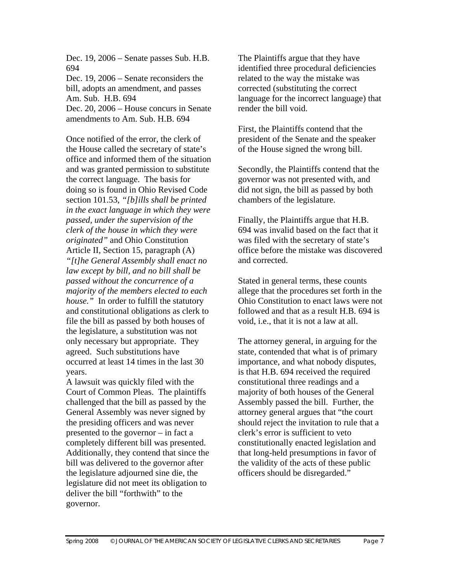Dec. 19, 2006 – Senate passes Sub. H.B. 694

Dec. 19, 2006 – Senate reconsiders the bill, adopts an amendment, and passes Am. Sub. H.B. 694 Dec. 20, 2006 – House concurs in Senate

amendments to Am. Sub. H.B. 694

Once notified of the error, the clerk of the House called the secretary of state's office and informed them of the situation and was granted permission to substitute the correct language. The basis for doing so is found in Ohio Revised Code section 101.53, *"[b]ills shall be printed in the exact language in which they were passed, under the supervision of the clerk of the house in which they were originated"* and Ohio Constitution Article II, Section 15, paragraph (A) *"[t]he General Assembly shall enact no law except by bill, and no bill shall be passed without the concurrence of a majority of the members elected to each house."* In order to fulfill the statutory and constitutional obligations as clerk to file the bill as passed by both houses of the legislature, a substitution was not only necessary but appropriate. They agreed. Such substitutions have occurred at least 14 times in the last 30 years.

A lawsuit was quickly filed with the Court of Common Pleas. The plaintiffs challenged that the bill as passed by the General Assembly was never signed by the presiding officers and was never presented to the governor – in fact a completely different bill was presented. Additionally, they contend that since the bill was delivered to the governor after the legislature adjourned sine die, the legislature did not meet its obligation to deliver the bill "forthwith" to the governor.

The Plaintiffs argue that they have identified three procedural deficiencies related to the way the mistake was corrected (substituting the correct language for the incorrect language) that render the bill void.

First, the Plaintiffs contend that the president of the Senate and the speaker of the House signed the wrong bill.

Secondly, the Plaintiffs contend that the governor was not presented with, and did not sign, the bill as passed by both chambers of the legislature.

Finally, the Plaintiffs argue that H.B. 694 was invalid based on the fact that it was filed with the secretary of state's office before the mistake was discovered and corrected.

Stated in general terms, these counts allege that the procedures set forth in the Ohio Constitution to enact laws were not followed and that as a result H.B. 694 is void, i.e., that it is not a law at all.

The attorney general, in arguing for the state, contended that what is of primary importance, and what nobody disputes, is that H.B. 694 received the required constitutional three readings and a majority of both houses of the General Assembly passed the bill. Further, the attorney general argues that "the court should reject the invitation to rule that a clerk's error is sufficient to veto constitutionally enacted legislation and that long-held presumptions in favor of the validity of the acts of these public officers should be disregarded."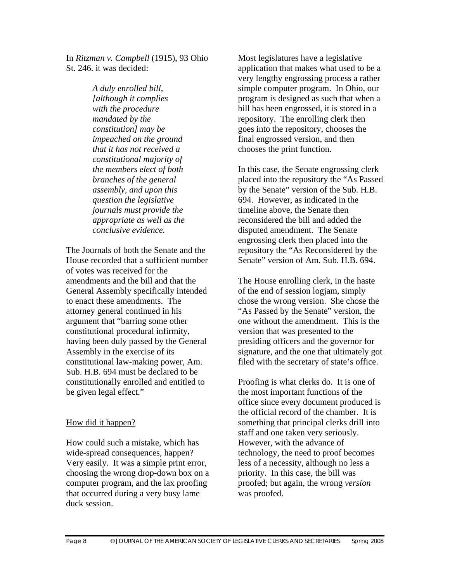In *Ritzman v. Campbell* (1915), 93 Ohio St. 246. it was decided:

> *A duly enrolled bill, [although it complies with the procedure mandated by the constitution] may be impeached on the ground that it has not received a constitutional majority of the members elect of both branches of the general assembly, and upon this question the legislative journals must provide the appropriate as well as the conclusive evidence.*

The Journals of both the Senate and the House recorded that a sufficient number of votes was received for the amendments and the bill and that the General Assembly specifically intended to enact these amendments. The attorney general continued in his argument that "barring some other constitutional procedural infirmity, having been duly passed by the General Assembly in the exercise of its constitutional law-making power, Am. Sub. H.B. 694 must be declared to be constitutionally enrolled and entitled to be given legal effect."

#### How did it happen?

How could such a mistake, which has wide-spread consequences, happen? Very easily. It was a simple print error, choosing the wrong drop-down box on a computer program, and the lax proofing that occurred during a very busy lame duck session.

Most legislatures have a legislative application that makes what used to be a very lengthy engrossing process a rather simple computer program. In Ohio, our program is designed as such that when a bill has been engrossed, it is stored in a repository. The enrolling clerk then goes into the repository, chooses the final engrossed version, and then chooses the print function.

In this case, the Senate engrossing clerk placed into the repository the "As Passed by the Senate" version of the Sub. H.B. 694. However, as indicated in the timeline above, the Senate then reconsidered the bill and added the disputed amendment. The Senate engrossing clerk then placed into the repository the "As Reconsidered by the Senate" version of Am. Sub. H.B. 694.

The House enrolling clerk, in the haste of the end of session logjam, simply chose the wrong version. She chose the "As Passed by the Senate" version, the one without the amendment. This is the version that was presented to the presiding officers and the governor for signature, and the one that ultimately got filed with the secretary of state's office.

Proofing is what clerks do. It is one of the most important functions of the office since every document produced is the official record of the chamber. It is something that principal clerks drill into staff and one taken very seriously. However, with the advance of technology, the need to proof becomes less of a necessity, although no less a priority. In this case, the bill was proofed; but again, the wrong *version* was proofed.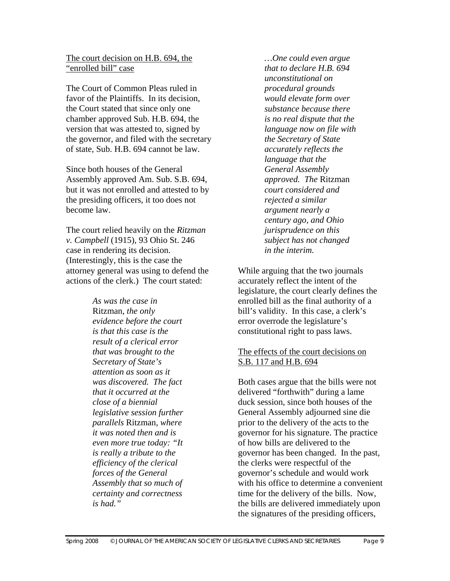The court decision on H.B. 694, the "enrolled bill" case

The Court of Common Pleas ruled in favor of the Plaintiffs. In its decision, the Court stated that since only one chamber approved Sub. H.B. 694, the version that was attested to, signed by the governor, and filed with the secretary of state, Sub. H.B. 694 cannot be law.

Since both houses of the General Assembly approved Am. Sub. S.B. 694, but it was not enrolled and attested to by the presiding officers, it too does not become law.

The court relied heavily on the *Ritzman v. Campbell* (1915), 93 Ohio St. 246 case in rendering its decision. (Interestingly, this is the case the attorney general was using to defend the actions of the clerk.) The court stated:

> *As was the case in*  Ritzman*, the only evidence before the court is that this case is the result of a clerical error that was brought to the Secretary of State's attention as soon as it was discovered. The fact that it occurred at the close of a biennial legislative session further parallels* Ritzman*, where it was noted then and is even more true today: "It is really a tribute to the efficiency of the clerical forces of the General Assembly that so much of certainty and correctness is had."*

*…One could even argue that to declare H.B. 694 unconstitutional on procedural grounds would elevate form over substance because there is no real dispute that the language now on file with the Secretary of State accurately reflects the language that the General Assembly approved. The* Ritzman *court considered and rejected a similar argument nearly a century ago, and Ohio jurisprudence on this subject has not changed in the interim.*

While arguing that the two journals accurately reflect the intent of the legislature, the court clearly defines the enrolled bill as the final authority of a bill's validity. In this case, a clerk's error overrode the legislature's constitutional right to pass laws.

#### The effects of the court decisions on S.B. 117 and H.B. 694

Both cases argue that the bills were not delivered "forthwith" during a lame duck session, since both houses of the General Assembly adjourned sine die prior to the delivery of the acts to the governor for his signature. The practice of how bills are delivered to the governor has been changed. In the past, the clerks were respectful of the governor's schedule and would work with his office to determine a convenient time for the delivery of the bills. Now, the bills are delivered immediately upon the signatures of the presiding officers,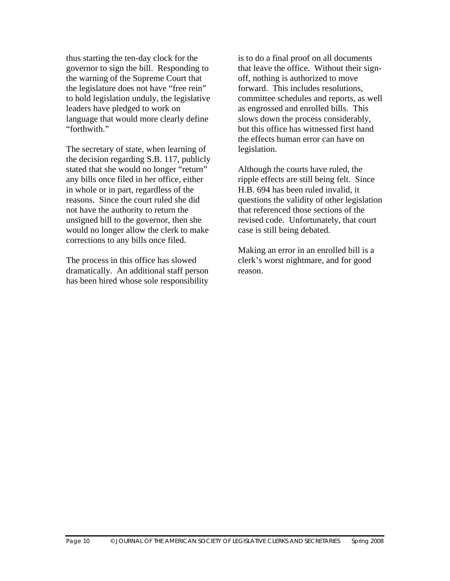thus starting the ten-day clock for the governor to sign the bill. Responding to the warning of the Supreme Court that the legislature does not have "free rein" to hold legislation unduly, the legislative leaders have pledged to work on language that would more clearly define "forthwith."

The secretary of state, when learning of the decision regarding S.B. 117, publicly stated that she would no longer "return" any bills once filed in her office, either in whole or in part, regardless of the reasons. Since the court ruled she did not have the authority to return the unsigned bill to the governor, then she would no longer allow the clerk to make corrections to any bills once filed.

The process in this office has slowed dramatically. An additional staff person has been hired whose sole responsibility

is to do a final proof on all documents that leave the office. Without their signoff, nothing is authorized to move forward. This includes resolutions, committee schedules and reports, as well as engrossed and enrolled bills. This slows down the process considerably, but this office has witnessed first hand the effects human error can have on legislation.

Although the courts have ruled, the ripple effects are still being felt. Since H.B. 694 has been ruled invalid, it questions the validity of other legislation that referenced those sections of the revised code. Unfortunately, that court case is still being debated.

Making an error in an enrolled bill is a clerk's worst nightmare, and for good reason.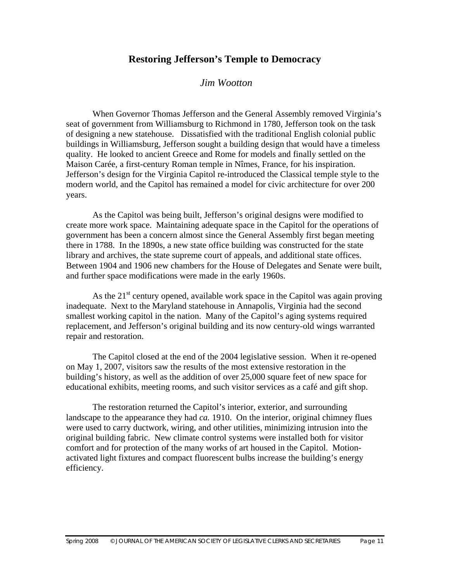### **Restoring Jefferson's Temple to Democracy**

#### *Jim Wootton*

When Governor Thomas Jefferson and the General Assembly removed Virginia's seat of government from Williamsburg to Richmond in 1780, Jefferson took on the task of designing a new statehouse. Dissatisfied with the traditional English colonial public buildings in Williamsburg, Jefferson sought a building design that would have a timeless quality. He looked to ancient Greece and Rome for models and finally settled on the Maison Carée, a first-century Roman temple in Nîmes, France, for his inspiration. Jefferson's design for the Virginia Capitol re-introduced the Classical temple style to the modern world, and the Capitol has remained a model for civic architecture for over 200 years.

 As the Capitol was being built, Jefferson's original designs were modified to create more work space. Maintaining adequate space in the Capitol for the operations of government has been a concern almost since the General Assembly first began meeting there in 1788. In the 1890s, a new state office building was constructed for the state library and archives, the state supreme court of appeals, and additional state offices. Between 1904 and 1906 new chambers for the House of Delegates and Senate were built, and further space modifications were made in the early 1960s.

As the  $21<sup>st</sup>$  century opened, available work space in the Capitol was again proving inadequate. Next to the Maryland statehouse in Annapolis, Virginia had the second smallest working capitol in the nation. Many of the Capitol's aging systems required replacement, and Jefferson's original building and its now century-old wings warranted repair and restoration.

The Capitol closed at the end of the 2004 legislative session. When it re-opened on May 1, 2007, visitors saw the results of the most extensive restoration in the building's history, as well as the addition of over 25,000 square feet of new space for educational exhibits, meeting rooms, and such visitor services as a café and gift shop.

The restoration returned the Capitol's interior, exterior, and surrounding landscape to the appearance they had *ca.* 1910. On the interior, original chimney flues were used to carry ductwork, wiring, and other utilities, minimizing intrusion into the original building fabric. New climate control systems were installed both for visitor comfort and for protection of the many works of art housed in the Capitol. Motionactivated light fixtures and compact fluorescent bulbs increase the building's energy efficiency.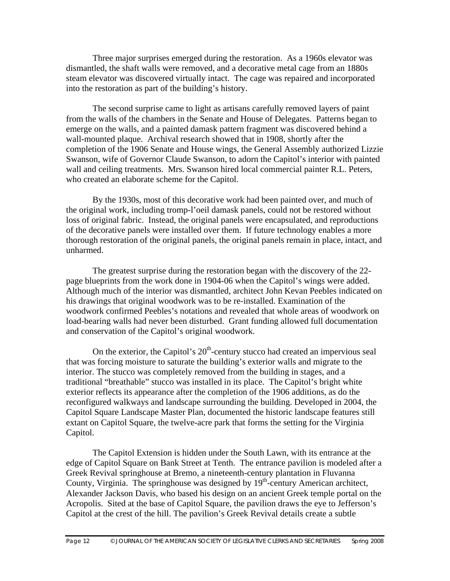Three major surprises emerged during the restoration. As a 1960s elevator was dismantled, the shaft walls were removed, and a decorative metal cage from an 1880s steam elevator was discovered virtually intact. The cage was repaired and incorporated into the restoration as part of the building's history.

The second surprise came to light as artisans carefully removed layers of paint from the walls of the chambers in the Senate and House of Delegates. Patterns began to emerge on the walls, and a painted damask pattern fragment was discovered behind a wall-mounted plaque. Archival research showed that in 1908, shortly after the completion of the 1906 Senate and House wings, the General Assembly authorized Lizzie Swanson, wife of Governor Claude Swanson, to adorn the Capitol's interior with painted wall and ceiling treatments. Mrs. Swanson hired local commercial painter R.L. Peters, who created an elaborate scheme for the Capitol.

By the 1930s, most of this decorative work had been painted over, and much of the original work, including tromp-l'oeil damask panels, could not be restored without loss of original fabric. Instead, the original panels were encapsulated, and reproductions of the decorative panels were installed over them. If future technology enables a more thorough restoration of the original panels, the original panels remain in place, intact, and unharmed.

The greatest surprise during the restoration began with the discovery of the 22 page blueprints from the work done in 1904-06 when the Capitol's wings were added. Although much of the interior was dismantled, architect John Kevan Peebles indicated on his drawings that original woodwork was to be re-installed. Examination of the woodwork confirmed Peebles's notations and revealed that whole areas of woodwork on load-bearing walls had never been disturbed. Grant funding allowed full documentation and conservation of the Capitol's original woodwork.

On the exterior, the Capitol's  $20<sup>th</sup>$ -century stucco had created an impervious seal that was forcing moisture to saturate the building's exterior walls and migrate to the interior. The stucco was completely removed from the building in stages, and a traditional "breathable" stucco was installed in its place. The Capitol's bright white exterior reflects its appearance after the completion of the 1906 additions, as do the reconfigured walkways and landscape surrounding the building. Developed in 2004, the Capitol Square Landscape Master Plan, documented the historic landscape features still extant on Capitol Square, the twelve-acre park that forms the setting for the Virginia Capitol.

The Capitol Extension is hidden under the South Lawn, with its entrance at the edge of Capitol Square on Bank Street at Tenth. The entrance pavilion is modeled after a Greek Revival springhouse at Bremo, a nineteenth-century plantation in Fluvanna County, Virginia. The springhouse was designed by  $19<sup>th</sup>$ -century American architect, Alexander Jackson Davis, who based his design on an ancient Greek temple portal on the Acropolis. Sited at the base of Capitol Square, the pavilion draws the eye to Jefferson's Capitol at the crest of the hill. The pavilion's Greek Revival details create a subtle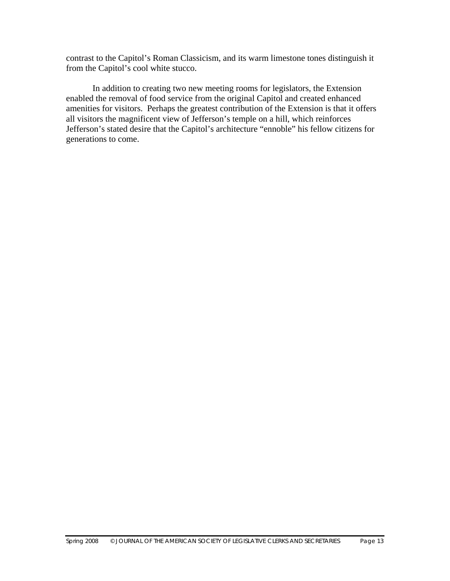contrast to the Capitol's Roman Classicism, and its warm limestone tones distinguish it from the Capitol's cool white stucco.

 In addition to creating two new meeting rooms for legislators, the Extension enabled the removal of food service from the original Capitol and created enhanced amenities for visitors. Perhaps the greatest contribution of the Extension is that it offers all visitors the magnificent view of Jefferson's temple on a hill, which reinforces Jefferson's stated desire that the Capitol's architecture "ennoble" his fellow citizens for generations to come.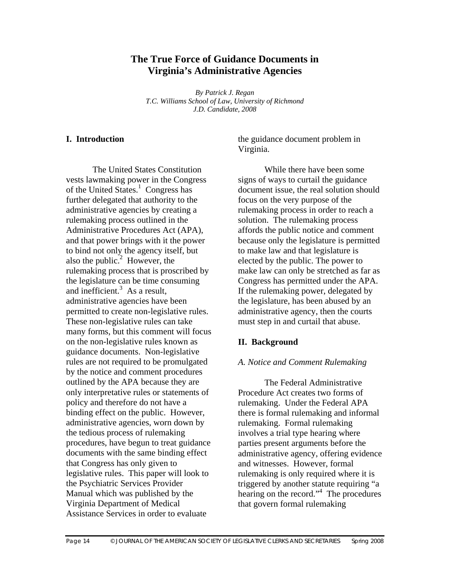# **The True Force of Guidance Documents in Virginia's Administrative Agencies**

*By Patrick J. Regan T.C. Williams School of Law, University of Richmond J.D. Candidate, 2008* 

#### **I. Introduction**

The United States Constitution vests lawmaking power in the Congress of the United States.<sup>1</sup> Congress has further delegated that authority to the administrative agencies by creating a rulemaking process outlined in the Administrative Procedures Act (APA), and that power brings with it the power to bind not only the agency itself, but also the public. $2$  However, the rulemaking process that is proscribed by the legislature can be time consuming and inefficient.<sup>3</sup> As a result, administrative agencies have been permitted to create non-legislative rules. These non-legislative rules can take many forms, but this comment will focus on the non-legislative rules known as guidance documents. Non-legislative rules are not required to be promulgated by the notice and comment procedures outlined by the APA because they are only interpretative rules or statements of policy and therefore do not have a binding effect on the public. However, administrative agencies, worn down by the tedious process of rulemaking procedures, have begun to treat guidance documents with the same binding effect that Congress has only given to legislative rules. This paper will look to the Psychiatric Services Provider Manual which was published by the Virginia Department of Medical Assistance Services in order to evaluate

the guidance document problem in Virginia.

While there have been some signs of ways to curtail the guidance document issue, the real solution should focus on the very purpose of the rulemaking process in order to reach a solution. The rulemaking process affords the public notice and comment because only the legislature is permitted to make law and that legislature is elected by the public. The power to make law can only be stretched as far as Congress has permitted under the APA. If the rulemaking power, delegated by the legislature, has been abused by an administrative agency, then the courts must step in and curtail that abuse.

#### **II. Background**

#### *A. Notice and Comment Rulemaking*

The Federal Administrative Procedure Act creates two forms of rulemaking. Under the Federal APA there is formal rulemaking and informal rulemaking. Formal rulemaking involves a trial type hearing where parties present arguments before the administrative agency, offering evidence and witnesses. However, formal rulemaking is only required where it is triggered by another statute requiring "a hearing on the record."4 The procedures that govern formal rulemaking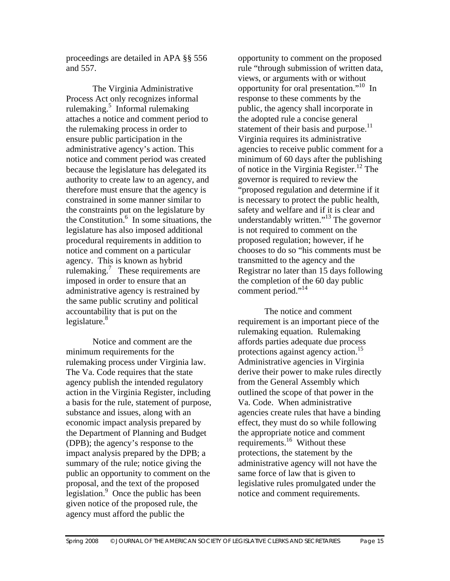proceedings are detailed in APA §§ 556 and 557.

The Virginia Administrative Process Act only recognizes informal rulemaking.<sup>5</sup> Informal rulemaking attaches a notice and comment period to the rulemaking process in order to ensure public participation in the administrative agency's action. This notice and comment period was created because the legislature has delegated its authority to create law to an agency, and therefore must ensure that the agency is constrained in some manner similar to the constraints put on the legislature by the Constitution.<sup>6</sup> In some situations, the legislature has also imposed additional procedural requirements in addition to notice and comment on a particular agency. This is known as hybrid rulemaking.<sup>7</sup> These requirements are imposed in order to ensure that an administrative agency is restrained by the same public scrutiny and political accountability that is put on the legislature. $8$ 

Notice and comment are the minimum requirements for the rulemaking process under Virginia law. The Va. Code requires that the state agency publish the intended regulatory action in the Virginia Register, including a basis for the rule, statement of purpose, substance and issues, along with an economic impact analysis prepared by the Department of Planning and Budget (DPB); the agency's response to the impact analysis prepared by the DPB; a summary of the rule; notice giving the public an opportunity to comment on the proposal, and the text of the proposed legislation.<sup>9</sup> Once the public has been given notice of the proposed rule, the agency must afford the public the

opportunity to comment on the proposed rule "through submission of written data, views, or arguments with or without opportunity for oral presentation."10 In response to these comments by the public, the agency shall incorporate in the adopted rule a concise general statement of their basis and purpose.<sup>11</sup> Virginia requires its administrative agencies to receive public comment for a minimum of 60 days after the publishing of notice in the Virginia Register.<sup>12</sup> The governor is required to review the "proposed regulation and determine if it is necessary to protect the public health, safety and welfare and if it is clear and understandably written."13 The governor is not required to comment on the proposed regulation; however, if he chooses to do so "his comments must be transmitted to the agency and the Registrar no later than 15 days following the completion of the 60 day public comment period."<sup>14</sup>

The notice and comment requirement is an important piece of the rulemaking equation. Rulemaking affords parties adequate due process protections against agency action.<sup>15</sup> Administrative agencies in Virginia derive their power to make rules directly from the General Assembly which outlined the scope of that power in the Va. Code. When administrative agencies create rules that have a binding effect, they must do so while following the appropriate notice and comment requirements.<sup>16</sup> Without these protections, the statement by the administrative agency will not have the same force of law that is given to legislative rules promulgated under the notice and comment requirements.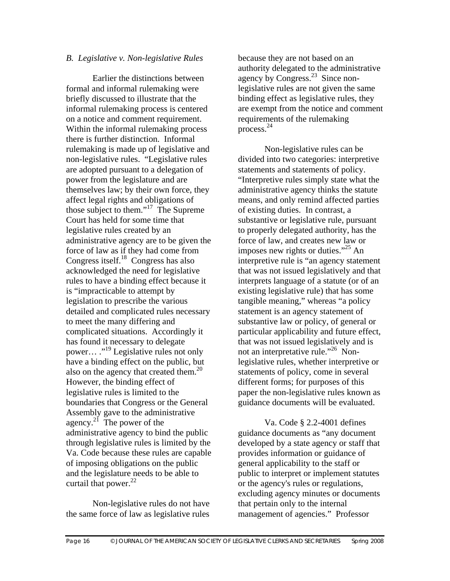#### *B. Legislative v. Non-legislative Rules*

Earlier the distinctions between formal and informal rulemaking were briefly discussed to illustrate that the informal rulemaking process is centered on a notice and comment requirement. Within the informal rulemaking process there is further distinction. Informal rulemaking is made up of legislative and non-legislative rules. "Legislative rules are adopted pursuant to a delegation of power from the legislature and are themselves law; by their own force, they affect legal rights and obligations of those subject to them."17 The Supreme Court has held for some time that legislative rules created by an administrative agency are to be given the force of law as if they had come from Congress itself.<sup>18</sup> Congress has also acknowledged the need for legislative rules to have a binding effect because it is "impracticable to attempt by legislation to prescribe the various detailed and complicated rules necessary to meet the many differing and complicated situations. Accordingly it has found it necessary to delegate power… ."19 Legislative rules not only have a binding effect on the public, but also on the agency that created them.<sup>20</sup> However, the binding effect of legislative rules is limited to the boundaries that Congress or the General Assembly gave to the administrative agency.<sup>21</sup> The power of the administrative agency to bind the public through legislative rules is limited by the Va. Code because these rules are capable of imposing obligations on the public and the legislature needs to be able to curtail that power. $^{22}$ 

Non-legislative rules do not have the same force of law as legislative rules

because they are not based on an authority delegated to the administrative agency by Congress.<sup>23</sup> Since nonlegislative rules are not given the same binding effect as legislative rules, they are exempt from the notice and comment requirements of the rulemaking process. 24

Non-legislative rules can be divided into two categories: interpretive statements and statements of policy. "Interpretive rules simply state what the administrative agency thinks the statute means, and only remind affected parties of existing duties. In contrast, a substantive or legislative rule, pursuant to properly delegated authority, has the force of law, and creates new law or imposes new rights or duties."<sup>25</sup> An interpretive rule is "an agency statement that was not issued legislatively and that interprets language of a statute (or of an existing legislative rule) that has some tangible meaning," whereas "a policy statement is an agency statement of substantive law or policy, of general or particular applicability and future effect, that was not issued legislatively and is not an interpretative rule."<sup>26</sup> Nonlegislative rules, whether interpretive or statements of policy, come in several different forms; for purposes of this paper the non-legislative rules known as guidance documents will be evaluated.

Va. Code § 2.2-4001 defines guidance documents as "any document developed by a state agency or staff that provides information or guidance of general applicability to the staff or public to interpret or implement statutes or the agency's rules or regulations, excluding agency minutes or documents that pertain only to the internal management of agencies." Professor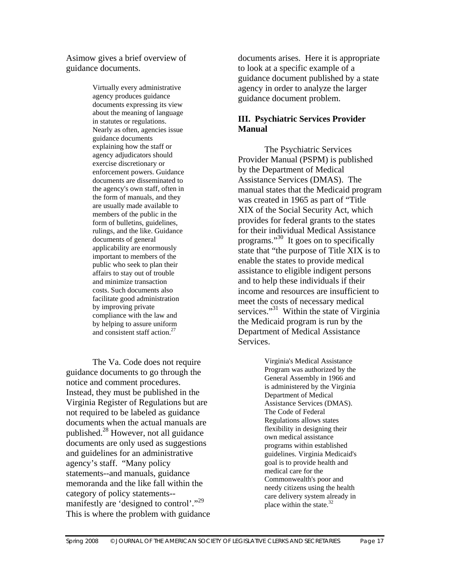Asimow gives a brief overview of guidance documents.

> Virtually every administrative agency produces guidance documents expressing its view about the meaning of language in statutes or regulations. Nearly as often, agencies issue guidance documents explaining how the staff or agency adjudicators should exercise discretionary or enforcement powers. Guidance documents are disseminated to the agency's own staff, often in the form of manuals, and they are usually made available to members of the public in the form of bulletins, guidelines, rulings, and the like. Guidance documents of general applicability are enormously important to members of the public who seek to plan their affairs to stay out of trouble and minimize transaction costs. Such documents also facilitate good administration by improving private compliance with the law and by helping to assure uniform and consistent staff action. $27$

The Va. Code does not require guidance documents to go through the notice and comment procedures. Instead, they must be published in the Virginia Register of Regulations but are not required to be labeled as guidance documents when the actual manuals are published. $^{28}$  However, not all guidance documents are only used as suggestions and guidelines for an administrative agency's staff. "Many policy statements--and manuals, guidance memoranda and the like fall within the category of policy statements- manifestly are 'designed to control'."29 This is where the problem with guidance documents arises. Here it is appropriate to look at a specific example of a guidance document published by a state agency in order to analyze the larger guidance document problem.

#### **III. Psychiatric Services Provider Manual**

 The Psychiatric Services Provider Manual (PSPM) is published by the Department of Medical Assistance Services (DMAS). The manual states that the Medicaid program was created in 1965 as part of "Title XIX of the Social Security Act, which provides for federal grants to the states for their individual Medical Assistance programs."30 It goes on to specifically state that "the purpose of Title XIX is to enable the states to provide medical assistance to eligible indigent persons and to help these individuals if their income and resources are insufficient to meet the costs of necessary medical services."<sup>31</sup> Within the state of Virginia the Medicaid program is run by the Department of Medical Assistance Services.

> Virginia's Medical Assistance Program was authorized by the General Assembly in 1966 and is administered by the Virginia Department of Medical Assistance Services (DMAS). The Code of Federal Regulations allows states flexibility in designing their own medical assistance programs within established guidelines. Virginia Medicaid's goal is to provide health and medical care for the Commonwealth's poor and needy citizens using the health care delivery system already in place within the state.<sup>32</sup>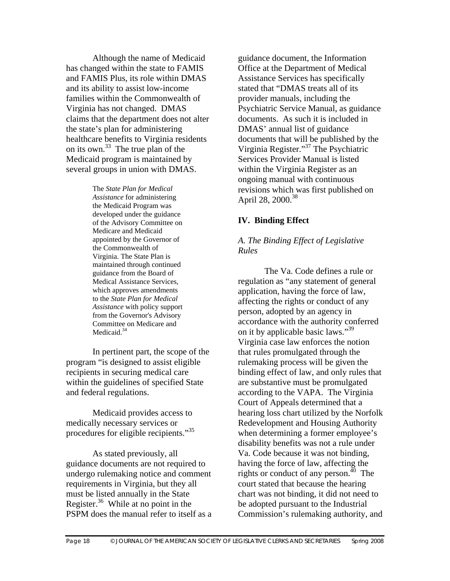Although the name of Medicaid has changed within the state to FAMIS and FAMIS Plus, its role within DMAS and its ability to assist low-income families within the Commonwealth of Virginia has not changed. DMAS claims that the department does not alter the state's plan for administering healthcare benefits to Virginia residents on its own.33 The true plan of the Medicaid program is maintained by several groups in union with DMAS.

> The *State Plan for Medical Assistance* for administering the Medicaid Program was developed under the guidance of the Advisory Committee on Medicare and Medicaid appointed by the Governor of the Commonwealth of Virginia. The State Plan is maintained through continued guidance from the Board of Medical Assistance Services, which approves amendments to the *State Plan for Medical Assistance* with policy support from the Governor's Advisory Committee on Medicare and Medicaid.<sup>34</sup>

In pertinent part, the scope of the program "is designed to assist eligible recipients in securing medical care within the guidelines of specified State and federal regulations.

Medicaid provides access to medically necessary services or procedures for eligible recipients."35

 As stated previously, all guidance documents are not required to undergo rulemaking notice and comment requirements in Virginia, but they all must be listed annually in the State Register. $36$  While at no point in the PSPM does the manual refer to itself as a guidance document, the Information Office at the Department of Medical Assistance Services has specifically stated that "DMAS treats all of its provider manuals, including the Psychiatric Service Manual, as guidance documents. As such it is included in DMAS' annual list of guidance documents that will be published by the Virginia Register."37 The Psychiatric Services Provider Manual is listed within the Virginia Register as an ongoing manual with continuous revisions which was first published on April 28,  $2000^{38}$ 

#### **IV. Binding Effect**

#### *A. The Binding Effect of Legislative Rules*

The Va. Code defines a rule or regulation as "any statement of general application, having the force of law, affecting the rights or conduct of any person, adopted by an agency in accordance with the authority conferred on it by applicable basic laws."<sup>39</sup> Virginia case law enforces the notion that rules promulgated through the rulemaking process will be given the binding effect of law, and only rules that are substantive must be promulgated according to the VAPA. The Virginia Court of Appeals determined that a hearing loss chart utilized by the Norfolk Redevelopment and Housing Authority when determining a former employee's disability benefits was not a rule under Va. Code because it was not binding, having the force of law, affecting the rights or conduct of any person.<sup>40</sup> The court stated that because the hearing chart was not binding, it did not need to be adopted pursuant to the Industrial Commission's rulemaking authority, and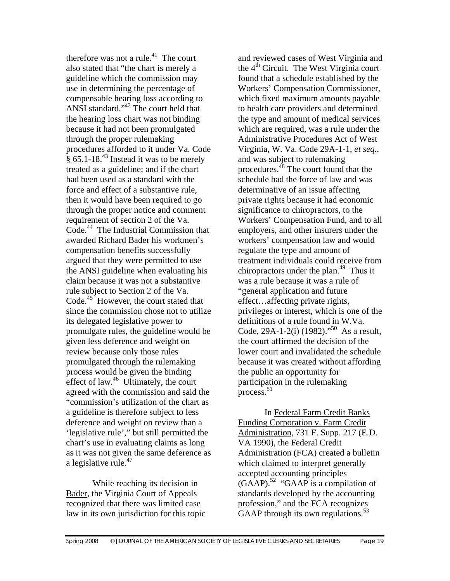therefore was not a rule. $41$  The court also stated that "the chart is merely a guideline which the commission may use in determining the percentage of compensable hearing loss according to ANSI standard."42 The court held that the hearing loss chart was not binding because it had not been promulgated through the proper rulemaking procedures afforded to it under Va. Code  $\frac{1}{8}$  65.1-18.<sup>43</sup> Instead it was to be merely treated as a guideline; and if the chart had been used as a standard with the force and effect of a substantive rule, then it would have been required to go through the proper notice and comment requirement of section 2 of the Va. Code.<sup>44</sup> The Industrial Commission that awarded Richard Bader his workmen's compensation benefits successfully argued that they were permitted to use the ANSI guideline when evaluating his claim because it was not a substantive rule subject to Section 2 of the Va. Code.<sup>45</sup> However, the court stated that since the commission chose not to utilize its delegated legislative power to promulgate rules, the guideline would be given less deference and weight on review because only those rules promulgated through the rulemaking process would be given the binding effect of law.<sup>46</sup> Ultimately, the court agreed with the commission and said the "commission's utilization of the chart as a guideline is therefore subject to less deference and weight on review than a 'legislative rule'," but still permitted the chart's use in evaluating claims as long as it was not given the same deference as a legislative rule.<sup>47</sup>

While reaching its decision in Bader, the Virginia Court of Appeals recognized that there was limited case law in its own jurisdiction for this topic

and reviewed cases of West Virginia and the  $4<sup>th</sup>$  Circuit. The West Virginia court found that a schedule established by the Workers' Compensation Commissioner, which fixed maximum amounts payable to health care providers and determined the type and amount of medical services which are required, was a rule under the Administrative Procedures Act of West Virginia, W. Va. Code 29A-1-1, *et seq.*, and was subject to rulemaking procedures.48 The court found that the schedule had the force of law and was determinative of an issue affecting private rights because it had economic significance to chiropractors, to the Workers' Compensation Fund, and to all employers, and other insurers under the workers' compensation law and would regulate the type and amount of treatment individuals could receive from chiropractors under the plan.<sup>49</sup> Thus it was a rule because it was a rule of "general application and future effect…affecting private rights, privileges or interest, which is one of the definitions of a rule found in W.Va. Code, 29A-1-2(i) (1982)."<sup>50</sup> As a result, the court affirmed the decision of the lower court and invalidated the schedule because it was created without affording the public an opportunity for participation in the rulemaking process. $51$ 

In Federal Farm Credit Banks Funding Corporation v. Farm Credit Administration, 731 F. Supp. 217 (E.D. VA 1990), the Federal Credit Administration (FCA) created a bulletin which claimed to interpret generally accepted accounting principles  $(GAAP).$ <sup>52</sup> "GAAP is a compilation of standards developed by the accounting profession," and the FCA recognizes GAAP through its own regulations.<sup>53</sup>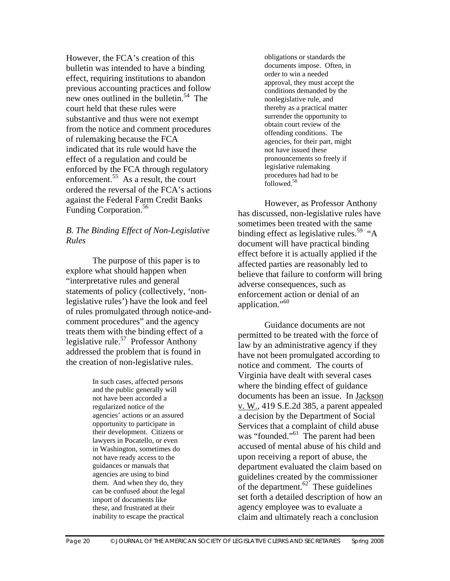However, the FCA's creation of this bulletin was intended to have a binding effect, requiring institutions to abandon previous accounting practices and follow new ones outlined in the bulletin.<sup>54</sup> The court held that these rules were substantive and thus were not exempt from the notice and comment procedures of rulemaking because the FCA indicated that its rule would have the effect of a regulation and could be enforced by the FCA through regulatory enforcement.<sup>55</sup> As a result, the court ordered the reversal of the FCA's actions against the Federal Farm Credit Banks Funding Corporation.<sup>56</sup>

#### *B. The Binding Effect of Non-Legislative Rules*

The purpose of this paper is to explore what should happen when "interpretative rules and general statements of policy (collectively, 'nonlegislative rules') have the look and feel of rules promulgated through notice-andcomment procedures" and the agency treats them with the binding effect of a legislative rule.<sup>57</sup> Professor Anthony addressed the problem that is found in the creation of non-legislative rules.

> In such cases, affected persons and the public generally will not have been accorded a regularized notice of the agencies' actions or an assured opportunity to participate in their development. Citizens or lawyers in Pocatello, or even in Washington, sometimes do not have ready access to the guidances or manuals that agencies are using to bind them. And when they do, they can be confused about the legal import of documents like these, and frustrated at their inability to escape the practical

obligations or standards the documents impose. Often, in order to win a needed approval, they must accept the conditions demanded by the nonlegislative rule, and thereby as a practical matter surrender the opportunity to obtain court review of the offending conditions. The agencies, for their part, might not have issued these pronouncements so freely if legislative rulemaking procedures had had to be followed.58

However, as Professor Anthony has discussed, non-legislative rules have sometimes been treated with the same binding effect as legislative rules.<sup>59</sup> "A" document will have practical binding effect before it is actually applied if the affected parties are reasonably led to believe that failure to conform will bring adverse consequences, such as enforcement action or denial of an application."60

Guidance documents are not permitted to be treated with the force of law by an administrative agency if they have not been promulgated according to notice and comment. The courts of Virginia have dealt with several cases where the binding effect of guidance documents has been an issue. In Jackson v. W., 419 S.E.2d 385, a parent appealed a decision by the Department of Social Services that a complaint of child abuse was "founded."<sup>61</sup> The parent had been accused of mental abuse of his child and upon receiving a report of abuse, the department evaluated the claim based on guidelines created by the commissioner of the department. $62^{\circ}$  These guidelines set forth a detailed description of how an agency employee was to evaluate a claim and ultimately reach a conclusion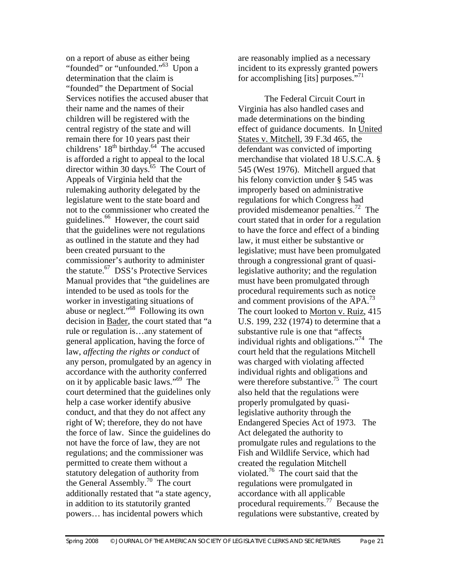on a report of abuse as either being "founded" or "unfounded."<sup>63</sup> Upon a determination that the claim is "founded" the Department of Social Services notifies the accused abuser that their name and the names of their children will be registered with the central registry of the state and will remain there for 10 years past their childrens'  $18<sup>th</sup>$  birthday.<sup>64</sup> The accused is afforded a right to appeal to the local director within 30 days.<sup>65</sup> The Court of Appeals of Virginia held that the rulemaking authority delegated by the legislature went to the state board and not to the commissioner who created the guidelines.<sup>66</sup> However, the court said that the guidelines were not regulations as outlined in the statute and they had been created pursuant to the commissioner's authority to administer the statute.<sup>67</sup> DSS's Protective Services Manual provides that "the guidelines are intended to be used as tools for the worker in investigating situations of abuse or neglect."68 Following its own decision in Bader, the court stated that "a rule or regulation is…any statement of general application, having the force of law, *affecting the rights or conduct* of any person, promulgated by an agency in accordance with the authority conferred on it by applicable basic laws."69 The court determined that the guidelines only help a case worker identify abusive conduct, and that they do not affect any right of W; therefore, they do not have the force of law. Since the guidelines do not have the force of law, they are not regulations; and the commissioner was permitted to create them without a statutory delegation of authority from the General Assembly.70 The court additionally restated that "a state agency, in addition to its statutorily granted powers… has incidental powers which

are reasonably implied as a necessary incident to its expressly granted powers for accomplishing [its] purposes."<sup>71</sup>

The Federal Circuit Court in Virginia has also handled cases and made determinations on the binding effect of guidance documents. In United States v. Mitchell, 39 F.3d 465, the defendant was convicted of importing merchandise that violated 18 U.S.C.A. § 545 (West 1976). Mitchell argued that his felony conviction under § 545 was improperly based on administrative regulations for which Congress had provided misdemeanor penalties.<sup>72</sup> The court stated that in order for a regulation to have the force and effect of a binding law, it must either be substantive or legislative; must have been promulgated through a congressional grant of quasilegislative authority; and the regulation must have been promulgated through procedural requirements such as notice and comment provisions of the  $APA.<sup>73</sup>$ The court looked to Morton v. Ruiz, 415 U.S. 199, 232 (1974) to determine that a substantive rule is one that "affects individual rights and obligations."<sup>74</sup> The court held that the regulations Mitchell was charged with violating affected individual rights and obligations and were therefore substantive.<sup>75</sup> The court also held that the regulations were properly promulgated by quasilegislative authority through the Endangered Species Act of 1973. The Act delegated the authority to promulgate rules and regulations to the Fish and Wildlife Service, which had created the regulation Mitchell violated.76 The court said that the regulations were promulgated in accordance with all applicable procedural requirements.77 Because the regulations were substantive, created by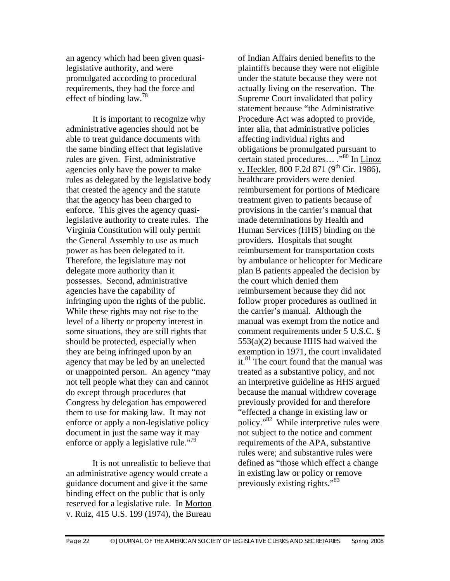an agency which had been given quasilegislative authority, and were promulgated according to procedural requirements, they had the force and effect of binding  $law.<sup>78</sup>$ 

It is important to recognize why administrative agencies should not be able to treat guidance documents with the same binding effect that legislative rules are given. First, administrative agencies only have the power to make rules as delegated by the legislative body that created the agency and the statute that the agency has been charged to enforce. This gives the agency quasilegislative authority to create rules. The Virginia Constitution will only permit the General Assembly to use as much power as has been delegated to it. Therefore, the legislature may not delegate more authority than it possesses. Second, administrative agencies have the capability of infringing upon the rights of the public. While these rights may not rise to the level of a liberty or property interest in some situations, they are still rights that should be protected, especially when they are being infringed upon by an agency that may be led by an unelected or unappointed person. An agency "may not tell people what they can and cannot do except through procedures that Congress by delegation has empowered them to use for making law. It may not enforce or apply a non-legislative policy document in just the same way it may enforce or apply a legislative rule."<sup>79</sup>

It is not unrealistic to believe that an administrative agency would create a guidance document and give it the same binding effect on the public that is only reserved for a legislative rule. In Morton v. Ruiz, 415 U.S. 199 (1974), the Bureau

of Indian Affairs denied benefits to the plaintiffs because they were not eligible under the statute because they were not actually living on the reservation. The Supreme Court invalidated that policy statement because "the Administrative Procedure Act was adopted to provide, inter alia, that administrative policies affecting individual rights and obligations be promulgated pursuant to certain stated procedures....<sup>"</sup>,<sup>80</sup> In <u>Linoz</u> v. Heckler, 800 F.2d 871 (9<sup>th</sup> Cir. 1986), healthcare providers were denied reimbursement for portions of Medicare treatment given to patients because of provisions in the carrier's manual that made determinations by Health and Human Services (HHS) binding on the providers. Hospitals that sought reimbursement for transportation costs by ambulance or helicopter for Medicare plan B patients appealed the decision by the court which denied them reimbursement because they did not follow proper procedures as outlined in the carrier's manual. Although the manual was exempt from the notice and comment requirements under 5 U.S.C. § 553(a)(2) because HHS had waived the exemption in 1971, the court invalidated it. $81$  The court found that the manual was treated as a substantive policy, and not an interpretive guideline as HHS argued because the manual withdrew coverage previously provided for and therefore "effected a change in existing law or policy."82 While interpretive rules were not subject to the notice and comment requirements of the APA, substantive rules were; and substantive rules were defined as "those which effect a change in existing law or policy or remove previously existing rights."83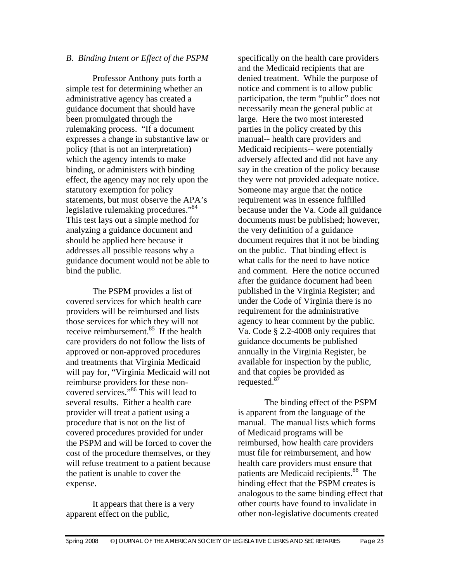#### *B. Binding Intent or Effect of the PSPM*

 Professor Anthony puts forth a simple test for determining whether an administrative agency has created a guidance document that should have been promulgated through the rulemaking process. "If a document expresses a change in substantive law or policy (that is not an interpretation) which the agency intends to make binding, or administers with binding effect, the agency may not rely upon the statutory exemption for policy statements, but must observe the APA's legislative rulemaking procedures."<sup>84</sup> This test lays out a simple method for analyzing a guidance document and should be applied here because it addresses all possible reasons why a guidance document would not be able to bind the public.

 The PSPM provides a list of covered services for which health care providers will be reimbursed and lists those services for which they will not receive reimbursement. $85$  If the health care providers do not follow the lists of approved or non-approved procedures and treatments that Virginia Medicaid will pay for, "Virginia Medicaid will not reimburse providers for these noncovered services."86 This will lead to several results. Either a health care provider will treat a patient using a procedure that is not on the list of covered procedures provided for under the PSPM and will be forced to cover the cost of the procedure themselves, or they will refuse treatment to a patient because the patient is unable to cover the expense.

It appears that there is a very apparent effect on the public,

specifically on the health care providers and the Medicaid recipients that are denied treatment. While the purpose of notice and comment is to allow public participation, the term "public" does not necessarily mean the general public at large. Here the two most interested parties in the policy created by this manual-- health care providers and Medicaid recipients-- were potentially adversely affected and did not have any say in the creation of the policy because they were not provided adequate notice. Someone may argue that the notice requirement was in essence fulfilled because under the Va. Code all guidance documents must be published; however, the very definition of a guidance document requires that it not be binding on the public. That binding effect is what calls for the need to have notice and comment. Here the notice occurred after the guidance document had been published in the Virginia Register; and under the Code of Virginia there is no requirement for the administrative agency to hear comment by the public. Va. Code § 2.2-4008 only requires that guidance documents be published annually in the Virginia Register, be available for inspection by the public, and that copies be provided as requested.<sup>87</sup>

 The binding effect of the PSPM is apparent from the language of the manual. The manual lists which forms of Medicaid programs will be reimbursed, how health care providers must file for reimbursement, and how health care providers must ensure that patients are Medicaid recipients.<sup>88</sup> The binding effect that the PSPM creates is analogous to the same binding effect that other courts have found to invalidate in other non-legislative documents created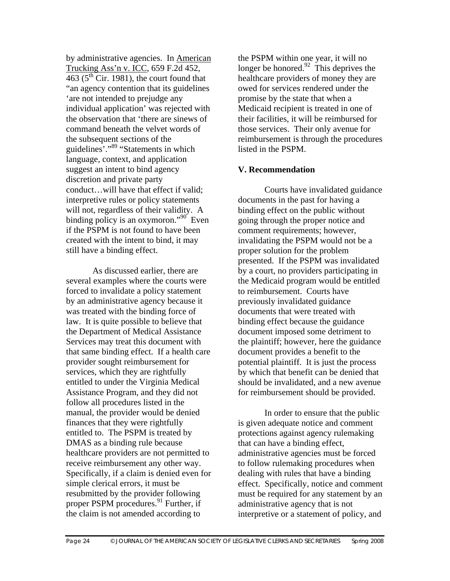by administrative agencies. In American Trucking Ass'n v. ICC, 659 F.2d 452,  $\overline{463}$  ( $\overline{5}$ <sup>th</sup> Cir. 1981), the court found that "an agency contention that its guidelines 'are not intended to prejudge any individual application' was rejected with the observation that 'there are sinews of command beneath the velvet words of the subsequent sections of the guidelines<sup>7</sup>."<sup>89</sup> "Statements in which language, context, and application suggest an intent to bind agency discretion and private party conduct…will have that effect if valid; interpretive rules or policy statements will not, regardless of their validity. A binding policy is an oxymoron."<sup>90</sup> Even if the PSPM is not found to have been created with the intent to bind, it may still have a binding effect.

 As discussed earlier, there are several examples where the courts were forced to invalidate a policy statement by an administrative agency because it was treated with the binding force of law. It is quite possible to believe that the Department of Medical Assistance Services may treat this document with that same binding effect. If a health care provider sought reimbursement for services, which they are rightfully entitled to under the Virginia Medical Assistance Program, and they did not follow all procedures listed in the manual, the provider would be denied finances that they were rightfully entitled to. The PSPM is treated by DMAS as a binding rule because healthcare providers are not permitted to receive reimbursement any other way. Specifically, if a claim is denied even for simple clerical errors, it must be resubmitted by the provider following proper PSPM procedures.<sup>91</sup> Further, if the claim is not amended according to

the PSPM within one year, it will no longer be honored. $92$  This deprives the healthcare providers of money they are owed for services rendered under the promise by the state that when a Medicaid recipient is treated in one of their facilities, it will be reimbursed for those services. Their only avenue for reimbursement is through the procedures listed in the PSPM.

#### **V. Recommendation**

 Courts have invalidated guidance documents in the past for having a binding effect on the public without going through the proper notice and comment requirements; however, invalidating the PSPM would not be a proper solution for the problem presented. If the PSPM was invalidated by a court, no providers participating in the Medicaid program would be entitled to reimbursement. Courts have previously invalidated guidance documents that were treated with binding effect because the guidance document imposed some detriment to the plaintiff; however, here the guidance document provides a benefit to the potential plaintiff. It is just the process by which that benefit can be denied that should be invalidated, and a new avenue for reimbursement should be provided.

In order to ensure that the public is given adequate notice and comment protections against agency rulemaking that can have a binding effect, administrative agencies must be forced to follow rulemaking procedures when dealing with rules that have a binding effect. Specifically, notice and comment must be required for any statement by an administrative agency that is not interpretive or a statement of policy, and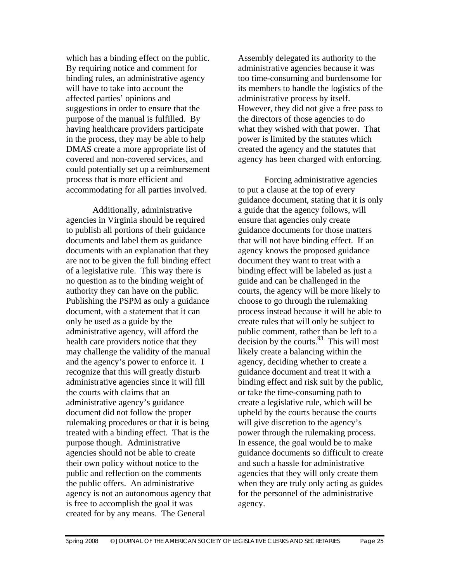which has a binding effect on the public. By requiring notice and comment for binding rules, an administrative agency will have to take into account the affected parties' opinions and suggestions in order to ensure that the purpose of the manual is fulfilled. By having healthcare providers participate in the process, they may be able to help DMAS create a more appropriate list of covered and non-covered services, and could potentially set up a reimbursement process that is more efficient and accommodating for all parties involved.

 Additionally, administrative agencies in Virginia should be required to publish all portions of their guidance documents and label them as guidance documents with an explanation that they are not to be given the full binding effect of a legislative rule. This way there is no question as to the binding weight of authority they can have on the public. Publishing the PSPM as only a guidance document, with a statement that it can only be used as a guide by the administrative agency, will afford the health care providers notice that they may challenge the validity of the manual and the agency's power to enforce it. I recognize that this will greatly disturb administrative agencies since it will fill the courts with claims that an administrative agency's guidance document did not follow the proper rulemaking procedures or that it is being treated with a binding effect. That is the purpose though. Administrative agencies should not be able to create their own policy without notice to the public and reflection on the comments the public offers. An administrative agency is not an autonomous agency that is free to accomplish the goal it was created for by any means. The General

Assembly delegated its authority to the administrative agencies because it was too time-consuming and burdensome for its members to handle the logistics of the administrative process by itself. However, they did not give a free pass to the directors of those agencies to do what they wished with that power. That power is limited by the statutes which created the agency and the statutes that agency has been charged with enforcing.

 Forcing administrative agencies to put a clause at the top of every guidance document, stating that it is only a guide that the agency follows, will ensure that agencies only create guidance documents for those matters that will not have binding effect. If an agency knows the proposed guidance document they want to treat with a binding effect will be labeled as just a guide and can be challenged in the courts, the agency will be more likely to choose to go through the rulemaking process instead because it will be able to create rules that will only be subject to public comment, rather than be left to a  $\frac{1}{2}$  decision by the courts.<sup>93</sup> This will most likely create a balancing within the agency, deciding whether to create a guidance document and treat it with a binding effect and risk suit by the public, or take the time-consuming path to create a legislative rule, which will be upheld by the courts because the courts will give discretion to the agency's power through the rulemaking process. In essence, the goal would be to make guidance documents so difficult to create and such a hassle for administrative agencies that they will only create them when they are truly only acting as guides for the personnel of the administrative agency.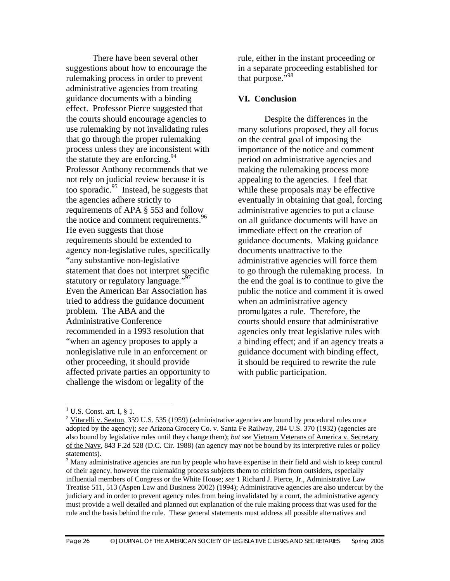There have been several other suggestions about how to encourage the rulemaking process in order to prevent administrative agencies from treating guidance documents with a binding effect. Professor Pierce suggested that the courts should encourage agencies to use rulemaking by not invalidating rules that go through the proper rulemaking process unless they are inconsistent with the statute they are enforcing.  $94$ Professor Anthony recommends that we not rely on judicial review because it is too sporadic.95 Instead, he suggests that the agencies adhere strictly to requirements of APA § 553 and follow the notice and comment requirements.<sup>96</sup> He even suggests that those requirements should be extended to agency non-legislative rules, specifically "any substantive non-legislative statement that does not interpret specific statutory or regulatory language."<sup>97</sup> Even the American Bar Association has tried to address the guidance document problem. The ABA and the Administrative Conference recommended in a 1993 resolution that "when an agency proposes to apply a nonlegislative rule in an enforcement or other proceeding, it should provide affected private parties an opportunity to challenge the wisdom or legality of the

rule, either in the instant proceeding or in a separate proceeding established for that purpose."98

#### **VI. Conclusion**

Despite the differences in the many solutions proposed, they all focus on the central goal of imposing the importance of the notice and comment period on administrative agencies and making the rulemaking process more appealing to the agencies. I feel that while these proposals may be effective eventually in obtaining that goal, forcing administrative agencies to put a clause on all guidance documents will have an immediate effect on the creation of guidance documents. Making guidance documents unattractive to the administrative agencies will force them to go through the rulemaking process. In the end the goal is to continue to give the public the notice and comment it is owed when an administrative agency promulgates a rule. Therefore, the courts should ensure that administrative agencies only treat legislative rules with a binding effect; and if an agency treats a guidance document with binding effect, it should be required to rewrite the rule with public participation.

 $\overline{a}$ 

 $1$  U.S. Const. art. I, § 1.

<sup>&</sup>lt;sup>2</sup> Vitarelli v. Seaton, 359 U.S. 535 (1959) (administrative agencies are bound by procedural rules once adopted by the agency); *see* Arizona Grocery Co. v. Santa Fe Railway, 284 U.S. 370 (1932) (agencies are also bound by legislative rules until they change them); *but see* Vietnam Veterans of America v. Secretary of the Navy, 843 F.2d 528 (D.C. Cir. 1988) (an agency may not be bound by its interpretive rules or policy statements).

<sup>&</sup>lt;sup>3</sup> Many administrative agencies are run by people who have expertise in their field and wish to keep control of their agency, however the rulemaking process subjects them to criticism from outsiders, especially influential members of Congress or the White House; *see* 1 Richard J. Pierce, Jr., Administrative Law Treatise 511, 513 (Aspen Law and Business 2002) (1994); Administrative agencies are also undercut by the judiciary and in order to prevent agency rules from being invalidated by a court, the administrative agency must provide a well detailed and planned out explanation of the rule making process that was used for the rule and the basis behind the rule. These general statements must address all possible alternatives and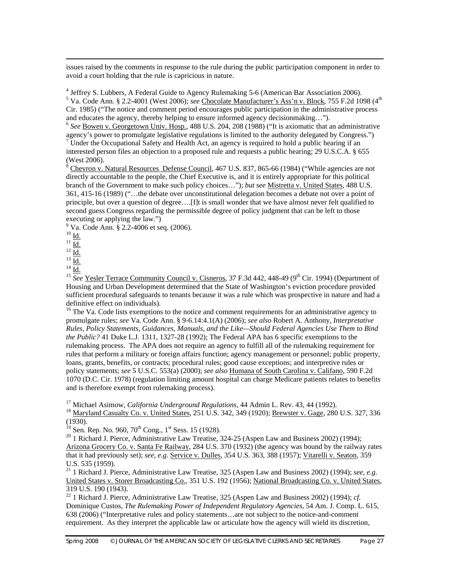issues raised by the comments in response to the rule during the public participation component in order to avoid a court holding that the rule is capricious in nature.

<sup>4</sup> Jeffrey S. Lubbers, A Federal Guide to Agency Rulemaking 5-6 (American Bar Association 2006). <sup>5</sup> Va. Code Ann. § 2.2-4001 (West 2006); *see* Chocolate Manufacturer's Ass'n v. Block, 755 F.2d 1098 (4<sup>th</sup> Cir. 1985) ("The notice and comment period encourages public participation in the administrative process and educates the agency, thereby helping to ensure informed agency decisionmaking…"). 6 *See* Bowen v. Georgetown Univ. Hosp., 488 U.S. 204, 208 (1988) ("It is axiomatic that an administrative

agency's power to promulgate legislative regulations is limited to the authority delegated by Congress.") 7 Under the Occupational Safety and Health Act, an agency is required to hold a public hearing if an interested person files an objection to a proposed rule and requests a public hearing; 29 U.S.C.A. § 655 (West 2006).

 $8 \overline{\text{Chevron v}}$ . Natural Resources Defense Council, 467 U.S. 837, 865-66 (1984) ("While agencies are not directly accountable to the people, the Chief Executive is, and it is entirely appropriate for this political branch of the Government to make such policy choices…"); *but see* Mistretta v. United States, 488 U.S. 361, 415-16 (1989) ("…the debate over unconstitutional delegation becomes a debate not over a point of principle, but over a question of degree….[I]t is small wonder that we have almost never felt qualified to second guess Congress regarding the permissible degree of policy judgment that can be left to those executing or applying the law.")

9 Va. Code Ann. § 2.2-4006 et seq. (2006).

 $^{10}$  Id.

 $^{11}$   $\overline{\underline{\mathrm{Id.}}}$ 

 $^{12}$   $\frac{1}{10}$ .

 $^{13}$  Id.

 $^{14}$  Id.

<sup>15</sup> See Yesler Terrace Community Council v. Cisneros, 37 F.3d 442, 448-49 (9<sup>th</sup> Cir. 1994) (Department of Housing and Urban Development determined that the State of Washington's eviction procedure provided sufficient procedural safeguards to tenants because it was a rule which was prospective in nature and had a definitive effect on individuals).

<sup>16</sup> The Va. Code lists exemptions to the notice and comment requirements for an administrative agency to promulgate rules; *see* Va. Code Ann. § 9-6.14:4.1(A) (2006); *see also* Robert A. Anthony, *Interpretative Rules, Policy Statements, Guidances, Manuals, and the Like—Should Federal Agencies Use Them to Bind the Public?* 41 Duke L.J. 1311, 1327-28 (1992); The Federal APA has 6 specific exemptions to the rulemaking process. The APA does not require an agency to fulfill all of the rulemaking requirement for rules that perform a military or foreign affairs function; agency management or personnel; public property, loans, grants, benefits, or contracts; procedural rules; good cause exceptions; and interpretive rules or policy statements; *see* 5 U.S.C. 553(a) (2000); *see also* Humana of South Carolina v. Califano, 590 F.2d 1070 (D.C. Cir. 1978) (regulation limiting amount hospital can charge Medicare patients relates to benefits and is therefore exempt from rulemaking process).

<sup>17</sup> Michael Asimow, *California Underground Regulations*, 44 Admin L. Rev. 43, 44 (1992).<br><sup>18</sup> Marvland Casualty Co. v. United States, 251 U.S. 342, 349 (1920); <u>Brewster v. Gage</u>, 280 U.S. 327, 336 (1930).<br><sup>19</sup> Sen. Rep. No. 960, 70<sup>th</sup> Cong., 1<sup>st</sup> Sess. 15 (1928).

 $20$  1 Richard J. Pierce, Administrative Law Treatise, 324-25 (Aspen Law and Business 2002) (1994); Arizona Grocery Co. v. Santa Fe Railway, 284 U.S. 370 (1932) (the agency was bound by the railway rates that it had previously set); *see, e.g.* Service v. Dulles, 354 U.S. 363, 388 (1957); Vitarelli v. Seaton, 359 U.S. 535 (1959).

21 1 Richard J. Pierce, Administrative Law Treatise, 325 (Aspen Law and Business 2002) (1994); *see, e.g.* United States v. Storer Broadcasting Co., 351 U.S. 192 (1956); National Broadcasting Co. v. United States, 319 U.S. 190 (1943).

22 1 Richard J. Pierce, Administrative Law Treatise, 325 (Aspen Law and Business 2002) (1994); *cf.* Dominique Custos, *The Rulemaking Power of Independent Regulatory Agencies*, 54 Am. J. Comp. L. 615, 638 (2006) ("Interpretative rules and policy statements…are not subject to the notice-and-comment requirement. As they interpret the applicable law or articulate how the agency will wield its discretion,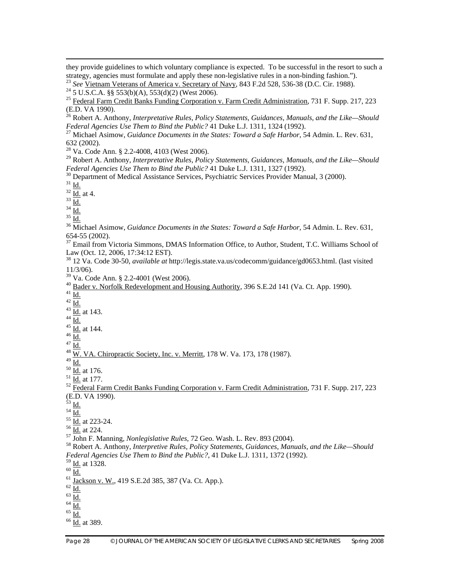they provide guidelines to which voluntary compliance is expected. To be successful in the resort to such a strategy, agencies must formulate and apply these non-legislative rules in a non-binding fashion.").

<sup>23</sup> *See* <u>Vietnam Veterans of America v. Secretary of Navy</u>, 843 F.2d 528, 536-38 (D.C. Cir. 1988).<br><sup>24</sup> 5 U.S.C.A. §§ 553(b)(A), 553(d)(2) (West 2006).

<sup>25</sup> Federal Farm Credit Banks Funding Corporation v. Farm Credit Administration, 731 F. Supp. 217, 223 (E.D. VA 1990).

26 Robert A. Anthony, *Interpretative Rules, Policy Statements, Guidances, Manuals, and the Like—Should Federal Agencies Use Them to Bind the Public?* 41 Duke L.J. 1311, 1324 (1992). 27 Michael Asimow, *Guidance Documents in the States: Toward a Safe Harbor*, 54 Admin. L. Rev. 631,

632 (2002).

 $^{28}$  Va. Code Ann. § 2.2-4008, 4103 (West 2006).

- 29 Robert A. Anthony, *Interpretative Rules, Policy Statements, Guidances, Manuals, and the Like—Should Federal Agencies Use Them to Bind the Public?* 41 Duke L.J. 1311, 1327 (1992).<br><sup>30</sup> Department of Medical Assistance Services, Psychiatric Services Provider Manual, 3 (2000).<br><sup>31</sup> Id
- 

 $rac{32}{33}$   $\underline{\text{Id.}}$  at 4.

 $^{34}$   $\overline{\underline{\mathrm{Id}}}.$ 

 $^{35}$  Id.

36 Michael Asimow, *Guidance Documents in the States: Toward a Safe Harbor*, 54 Admin. L. Rev. 631, 654-55 (2002).

<sup>37</sup> Email from Victoria Simmons, DMAS Information Office, to Author, Student, T.C. Williams School of Law (Oct. 12, 2006, 17:34:12 EST).

38 12 Va. Code 30-50, *available at* http://legis.state.va.us/codecomm/guidance/gd0653.html. (last visited 11/3/06).

39 Va. Code Ann. § 2.2-4001 (West 2006).

 $^{40}$  Bader v. Norfolk Redevelopment and Housing Authority, 396 S.E.2d 141 (Va. Ct. App. 1990).  $^{41}$  Id.

 $42 \overline{Id}$ .

- $rac{43}{44}$   $\frac{\overline{Id.}}{\underline{Id.}}$  at 143.
- 
- $rac{45}{10}$   $rac{1}{10}$  at 144.

 $^{47}$  <u>Id.</u>

 $48\overline{\text{W}}$ . VA. Chiropractic Society, Inc. v. Merritt, 178 W. Va. 173, 178 (1987).

 $\frac{49}{50}$   $\frac{\underline{Id.}}{\underline{Id.}}$  at 176.

# $\frac{51}{10}$  Id. at 177.<br><sup>52</sup> Federal Farm Credit Banks Funding Corporation v. Farm Credit Administration, 731 F. Supp. 217, 223 (E.D. VA 1990).<br><sup>53</sup> I<u>d.</u>

 $rac{101}{55}$   $rac{101}{101}$  at 223-24.

<sup>56</sup> Id. at 224.<br><sup>57</sup> John F. Manning, *Nonlegislative Rules*, 72 Geo. Wash. L. Rev. 893 (2004).<br><sup>58</sup> Robert A. Anthony, *Interpretive Rules, Policy Statements, Guidances, Manuals, and the Like—Should Federal Agencies Use Them to Bind the Public?*, 41 Duke L.J. 1311, 1372 (1992).

 $\frac{59}{60}$  <u>Id.</u> at 1328.

 $61 \overline{Jackson v. W.}$ , 419 S.E.2d 385, 387 (Va. Ct. App.).  $62 \overline{Id}$ .<br> $63 \overline{Id}$ .

 $^{64}$   $\overline{\underline{\mbox{Id.}}}$  $^{65}$   $\overline{\underline{\mbox{Id.}}}$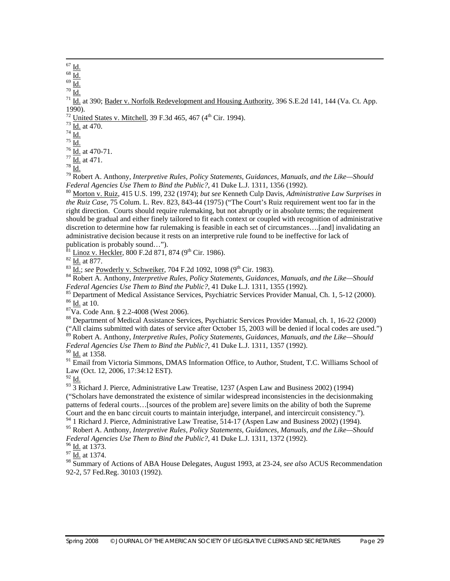Id.

 $70$   $\underline{\text{Id}}$ 

 $\frac{71}{10}$  at 390; Bader v. Norfolk Redevelopment and Housing Authority, 396 S.E.2d 141, 144 (Va. Ct. App. 1990).

 $\frac{72}{73}$  United States v. Mitchell, 39 F.3d 465, 467 (4<sup>th</sup> Cir. 1994).<br>  $\frac{73}{74}$  Id. at 470.

 $^{75}$  Id.

 $rac{76}{77}$   $rac{Id}{Id}$  at 470-71.<br>  $rac{77}{78}$   $rac{Id}{Id}$  at 471.

79 Robert A. Anthony, *Interpretive Rules, Policy Statements, Guidances, Manuals, and the Like—Should Federal Agencies Use Them to Bind the Public?*, 41 Duke L.J. 1311, 1356 (1992).<br><sup>80</sup> Morton v. Ruiz, 415 U.S. 199, 232 (1974); *but see* Kenneth Culp Davis, *Administrative Law Surprises in* 

*the Ruiz Case*, 75 Colum. L. Rev. 823, 843-44 (1975) ("The Court's Ruiz requirement went too far in the right direction. Courts should require rulemaking, but not abruptly or in absolute terms; the requirement should be gradual and either finely tailored to fit each context or coupled with recognition of administrative discretion to determine how far rulemaking is feasible in each set of circumstances….[and] invalidating an administrative decision because it rests on an interpretive rule found to be ineffective for lack of publication is probably sound...").<br> $^{81}$  Linoz v. Heckler, 800 F.2d 871, 874 (9<sup>th</sup> Cir. 1986).

<sup>82</sup>  $\underline{\text{Id.}}$  at 877.<br><sup>83</sup>  $\underline{\text{Id.}}$ ; see <u>Powderly v. Schweiker,</u> 704 F.2d 1092, 1098 (9<sup>th</sup> Cir. 1983).<br><sup>84</sup> Robert A. Anthony, *Interpretive Rules, Policy Statements, Guidances, Manuals, and the Like—Should Federa* 

<sup>85</sup> Department of Medical Assistance Services, Psychiatric Services Provider Manual, Ch. 1, 5-12 (2000).<br><sup>86</sup> <u>Id.</u> at 10.<br><sup>87</sup>Va. Code Ann. § 2.2-4008 (West 2006).

88 Department of Medical Assistance Services, Psychiatric Services Provider Manual, ch. 1, 16-22 (2000) ("All claims submitted with dates of service after October 15, 2003 will be denied if local codes are used.")

89 Robert A. Anthony, *Interpretive Rules, Policy Statements, Guidances, Manuals, and the Like—Should Federal Agencies Use Them to Bind the Public?*, 41 Duke L.J. 1311, 1357 (1992). <sup>90</sup> I<u>d.</u> at 1358.

<sup>91</sup> Email from Victoria Simmons, DMAS Information Office, to Author, Student, T.C. Williams School of Law (Oct. 12, 2006, 17:34:12 EST).

 $92$  Id.

 $\frac{93}{3}$  Richard J. Pierce, Administrative Law Treatise, 1237 (Aspen Law and Business 2002) (1994) ("Scholars have demonstrated the existence of similar widespread inconsistencies in the decisionmaking patterns of federal courts…[sources of the problem are] severe limits on the ability of both the Supreme Court and the en banc circuit courts to maintain interjudge, interpanel, and intercircuit consistency."). <sup>94</sup> 1 Richard J. Pierce, Administrative Law Treatise, 514-17 (Aspen Law and Business 2002) (1994).

95 Robert A. Anthony, *Interpretive Rules, Policy Statements, Guidances, Manuals, and the Like—Should Federal Agencies Use Them to Bind the Public?*, 41 Duke L.J. 1311, 1372 (1992).<br><sup>96</sup> <u>Id.</u> at 1373.<br><sup>97</sup> Id. at 1374.

98 Summary of Actions of ABA House Delegates, August 1993, at 23-24, *see also* ACUS Recommendation 92-2, 57 Fed.Reg. 30103 (1992).

 $67 \underline{\text{Id.}}$ 

 $rac{68}{69}$   $rac{Id.}{Id.}$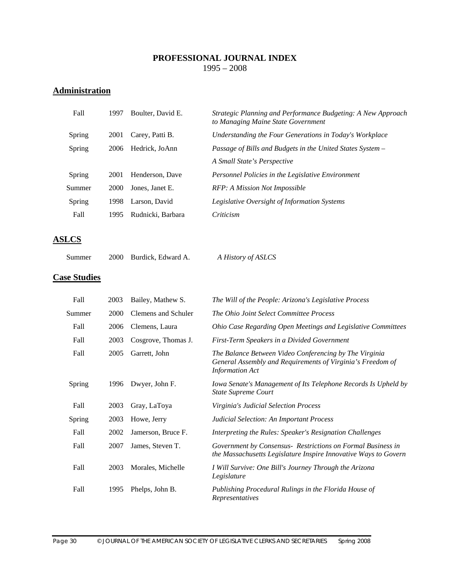#### **PROFESSIONAL JOURNAL INDEX**  1995 – 2008

# **Administration**

| Fall          | 1997 | Boulter, David E. | Strategic Planning and Performance Budgeting: A New Approach<br>to Managing Maine State Government |
|---------------|------|-------------------|----------------------------------------------------------------------------------------------------|
| <b>Spring</b> | 2001 | Carey, Patti B.   | Understanding the Four Generations in Today's Workplace                                            |
| Spring        | 2006 | Hedrick, JoAnn    | Passage of Bills and Budgets in the United States System –                                         |
|               |      |                   | A Small State's Perspective                                                                        |
| Spring        | 2001 | Henderson, Dave   | Personnel Policies in the Legislative Environment                                                  |
| Summer        | 2000 | Jones, Janet E.   | RFP: A Mission Not Impossible                                                                      |
| Spring        | 1998 | Larson, David     | Legislative Oversight of Information Systems                                                       |
| Fall          | 1995 | Rudnicki, Barbara | Criticism                                                                                          |
|               |      |                   |                                                                                                    |

# **ASLCS**

| Summer |  | 2000 Burdick, Edward A. | A History of ASLCS |
|--------|--|-------------------------|--------------------|
|--------|--|-------------------------|--------------------|

#### **Case Studies**

| Fall   | 2003 | Bailey, Mathew S.   | The Will of the People: Arizona's Legislative Process                                                                                          |
|--------|------|---------------------|------------------------------------------------------------------------------------------------------------------------------------------------|
| Summer | 2000 | Clemens and Schuler | The Ohio Joint Select Committee Process                                                                                                        |
| Fall   | 2006 | Clemens, Laura      | Ohio Case Regarding Open Meetings and Legislative Committees                                                                                   |
| Fall   | 2003 | Cosgrove, Thomas J. | First-Term Speakers in a Divided Government                                                                                                    |
| Fall   | 2005 | Garrett, John       | The Balance Between Video Conferencing by The Virginia<br>General Assembly and Requirements of Virginia's Freedom of<br><b>Information Act</b> |
| Spring | 1996 | Dwyer, John F.      | Iowa Senate's Management of Its Telephone Records Is Upheld by<br><b>State Supreme Court</b>                                                   |
| Fall   | 2003 | Gray, LaToya        | Virginia's Judicial Selection Process                                                                                                          |
| Spring | 2003 | Howe, Jerry         | <b>Judicial Selection: An Important Process</b>                                                                                                |
| Fall   | 2002 | Jamerson, Bruce F.  | Interpreting the Rules: Speaker's Resignation Challenges                                                                                       |
| Fall   | 2007 | James, Steven T.    | Government by Consensus - Restrictions on Formal Business in<br>the Massachusetts Legislature Inspire Innovative Ways to Govern                |
| Fall   | 2003 | Morales, Michelle   | I Will Survive: One Bill's Journey Through the Arizona<br>Legislature                                                                          |
| Fall   | 1995 | Phelps, John B.     | Publishing Procedural Rulings in the Florida House of<br>Representatives                                                                       |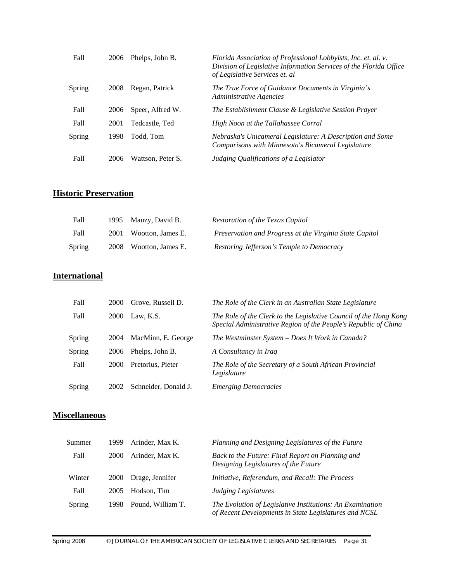| Fall   | 2006 | Phelps, John B.   | Florida Association of Professional Lobbyists, Inc. et. al. v.<br>Division of Legislative Information Services of the Florida Office<br>of Legislative Services et. al |
|--------|------|-------------------|------------------------------------------------------------------------------------------------------------------------------------------------------------------------|
| Spring | 2008 | Regan, Patrick    | The True Force of Guidance Documents in Virginia's<br>Administrative Agencies                                                                                          |
| Fall   | 2006 | Speer, Alfred W.  | The Establishment Clause & Legislative Session Prayer                                                                                                                  |
| Fall   | 2001 | Tedcastle, Ted    | High Noon at the Tallahassee Corral                                                                                                                                    |
| Spring | 1998 | Todd, Tom         | Nebraska's Unicameral Legislature: A Description and Some<br>Comparisons with Minnesota's Bicameral Legislature                                                        |
| Fall   | 2006 | Wattson, Peter S. | Judging Oualifications of a Legislator                                                                                                                                 |

# **Historic Preservation**

| Fall          | 1995 Mauzy, David B.   | Restoration of the Texas Capitol                        |
|---------------|------------------------|---------------------------------------------------------|
| Fall          | 2001 Wootton, James E. | Preservation and Progress at the Virginia State Capitol |
| <b>Spring</b> | 2008 Wootton, James E. | Restoring Jefferson's Temple to Democracy               |

# **International**

| Fall   | 2000        | Grove, Russell D.    | The Role of the Clerk in an Australian State Legislature                                                                             |
|--------|-------------|----------------------|--------------------------------------------------------------------------------------------------------------------------------------|
| Fall   | 2000        | Law. K.S.            | The Role of the Clerk to the Legislative Council of the Hong Kong<br>Special Administrative Region of the People's Republic of China |
| Spring | 2004        | MacMinn, E. George   | The Westminster System – Does It Work in Canada?                                                                                     |
| Spring | 2006        | Phelps, John B.      | A Consultancy in Iraq                                                                                                                |
| Fall   | <b>2000</b> | Pretorius, Pieter    | The Role of the Secretary of a South African Provincial<br>Legislature                                                               |
| Spring | 2002        | Schneider, Donald J. | <b>Emerging Democracies</b>                                                                                                          |

#### **Miscellaneous**

| Summer | 1999 | Arinder, Max K.   | Planning and Designing Legislatures of the Future                                                                  |
|--------|------|-------------------|--------------------------------------------------------------------------------------------------------------------|
| Fall   | 2000 | Arinder, Max K.   | Back to the Future: Final Report on Planning and<br>Designing Legislatures of the Future                           |
| Winter | 2000 | Drage, Jennifer   | Initiative, Referendum, and Recall: The Process                                                                    |
| Fall   | 2005 | Hodson. Tim       | Judging Legislatures                                                                                               |
| Spring | 1998 | Pound. William T. | The Evolution of Legislative Institutions: An Examination<br>of Recent Developments in State Legislatures and NCSL |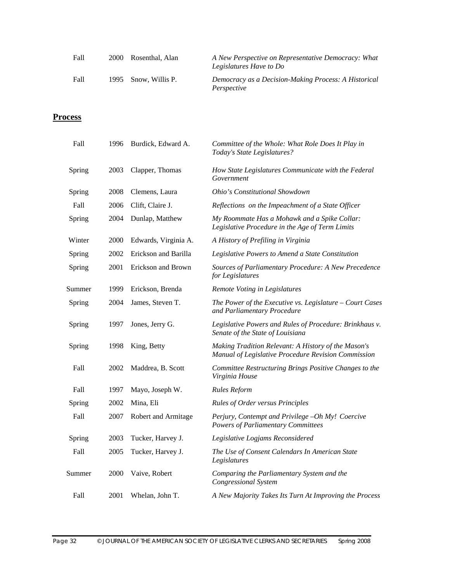| Fall | 2000 Rosenthal, Alan | A New Perspective on Representative Democracy: What<br>Legislatures Have to Do |
|------|----------------------|--------------------------------------------------------------------------------|
| Fall | 1995 Snow, Willis P. | Democracy as a Decision-Making Process: A Historical<br>Perspective            |

# **Process**

| Fall   | 1996 | Burdick, Edward A.   | Committee of the Whole: What Role Does It Play in<br>Today's State Legislatures?                           |
|--------|------|----------------------|------------------------------------------------------------------------------------------------------------|
| Spring | 2003 | Clapper, Thomas      | How State Legislatures Communicate with the Federal<br>Government                                          |
| Spring | 2008 | Clemens, Laura       | Ohio's Constitutional Showdown                                                                             |
| Fall   | 2006 | Clift, Claire J.     | Reflections on the Impeachment of a State Officer                                                          |
| Spring | 2004 | Dunlap, Matthew      | My Roommate Has a Mohawk and a Spike Collar:<br>Legislative Procedure in the Age of Term Limits            |
| Winter | 2000 | Edwards, Virginia A. | A History of Prefiling in Virginia                                                                         |
| Spring | 2002 | Erickson and Barilla | Legislative Powers to Amend a State Constitution                                                           |
| Spring | 2001 | Erickson and Brown   | Sources of Parliamentary Procedure: A New Precedence<br>for Legislatures                                   |
| Summer | 1999 | Erickson, Brenda     | Remote Voting in Legislatures                                                                              |
| Spring | 2004 | James, Steven T.     | The Power of the Executive vs. Legislature $-$ Court Cases<br>and Parliamentary Procedure                  |
| Spring | 1997 | Jones, Jerry G.      | Legislative Powers and Rules of Procedure: Brinkhaus v.<br>Senate of the State of Louisiana                |
| Spring | 1998 | King, Betty          | Making Tradition Relevant: A History of the Mason's<br>Manual of Legislative Procedure Revision Commission |
| Fall   | 2002 | Maddrea, B. Scott    | Committee Restructuring Brings Positive Changes to the<br>Virginia House                                   |
| Fall   | 1997 | Mayo, Joseph W.      | <b>Rules Reform</b>                                                                                        |
| Spring | 2002 | Mina, Eli            | Rules of Order versus Principles                                                                           |
| Fall   | 2007 | Robert and Armitage  | Perjury, Contempt and Privilege -Oh My! Coercive<br><b>Powers of Parliamentary Committees</b>              |
| Spring | 2003 | Tucker, Harvey J.    | Legislative Logjams Reconsidered                                                                           |
| Fall   | 2005 | Tucker, Harvey J.    | The Use of Consent Calendars In American State<br>Legislatures                                             |
| Summer | 2000 | Vaive, Robert        | Comparing the Parliamentary System and the<br><b>Congressional System</b>                                  |
| Fall   | 2001 | Whelan, John T.      | A New Majority Takes Its Turn At Improving the Process                                                     |